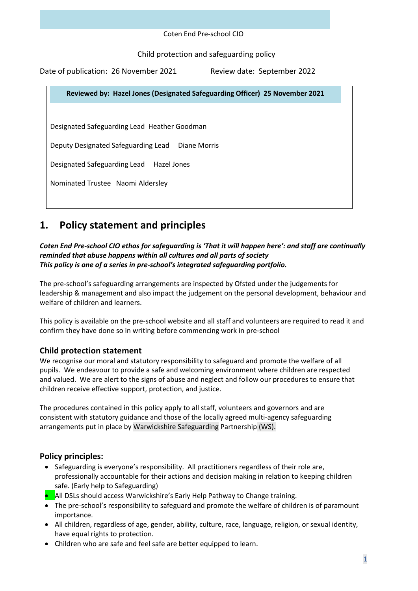|  | Coten End Pre-school CIO |  |
|--|--------------------------|--|
|  |                          |  |

Child protection and safeguarding policy

Date of publication: 26 November 2021 Review date: September 2022

Designated Safeguarding Lead Heather Goodman Deputy Designated Safeguarding Lead Diane Morris Designated Safeguarding Lead Hazel Jones Nominated Trustee Naomi Aldersley **Reviewed by: Hazel Jones (Designated Safeguarding Officer) 25 November 2021**

# **1. Policy statement and principles**

*Coten End Pre-school CIO ethos for safeguarding is 'That it will happen here': and staff are continually reminded that abuse happens within all cultures and all parts of society This policy is one of a series in pre-school's integrated safeguarding portfolio.*

The pre-school's safeguarding arrangements are inspected by Ofsted under the judgements for leadership & management and also impact the judgement on the personal development, behaviour and welfare of children and learners.

This policy is available on the pre-school website and all staff and volunteers are required to read it and confirm they have done so in writing before commencing work in pre-school

### **Child protection statement**

We recognise our moral and statutory responsibility to safeguard and promote the welfare of all pupils. We endeavour to provide a safe and welcoming environment where children are respected and valued. We are alert to the signs of abuse and neglect and follow our procedures to ensure that children receive effective support, protection, and justice.

The procedures contained in this policy apply to all staff, volunteers and governors and are consistent with statutory guidance and those of the locally agreed multi-agency safeguarding arrangements put in place by Warwickshire Safeguarding Partnership (WS).

### **Policy principles:**

- Safeguarding is everyone's responsibility. All practitioners regardless of their role are, professionally accountable for their actions and decision making in relation to keeping children safe. (Early help to Safeguarding)
- All DSLs should access Warwickshire's Early Help Pathway to Change training.
- The pre-school's responsibility to safeguard and promote the welfare of children is of paramount importance.
- All children, regardless of age, gender, ability, culture, race, language, religion, or sexual identity, have equal rights to protection.
- Children who are safe and feel safe are better equipped to learn.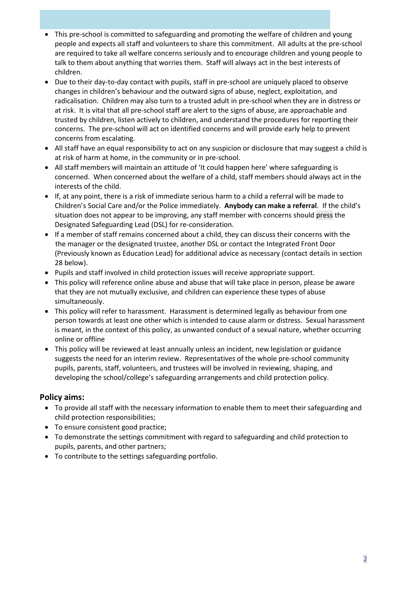- This pre-school is committed to safeguarding and promoting the welfare of children and young people and expects all staff and volunteers to share this commitment. All adults at the pre-school are required to take all welfare concerns seriously and to encourage children and young people to talk to them about anything that worries them. Staff will always act in the best interests of children.
- Due to their day-to-day contact with pupils, staff in pre-school are uniquely placed to observe changes in children's behaviour and the outward signs of abuse, neglect, exploitation, and radicalisation. Children may also turn to a trusted adult in pre-school when they are in distress or at risk. It is vital that all pre-school staff are alert to the signs of abuse, are approachable and trusted by children, listen actively to children, and understand the procedures for reporting their concerns. The pre-school will act on identified concerns and will provide early help to prevent concerns from escalating.
- All staff have an equal responsibility to act on any suspicion or disclosure that may suggest a child is at risk of harm at home, in the community or in pre-school.
- All staff members will maintain an attitude of 'It could happen here' where safeguarding is concerned. When concerned about the welfare of a child, staff members should always act in the interests of the child.
- If, at any point, there is a risk of immediate serious harm to a child a referral will be made to Children's Social Care and/or the Police immediately. **Anybody can make a referral**. If the child's situation does not appear to be improving, any staff member with concerns should press the Designated Safeguarding Lead (DSL) for re-consideration.
- If a member of staff remains concerned about a child, they can discuss their concerns with the the manager or the designated trustee, another DSL or contact the Integrated Front Door (Previously known as Education Lead) for additional advice as necessary (contact details in section 28 below).
- Pupils and staff involved in child protection issues will receive appropriate support.
- This policy will reference online abuse and abuse that will take place in person, please be aware that they are not mutually exclusive, and children can experience these types of abuse simultaneously.
- This policy will refer to harassment. Harassment is determined legally as behaviour from one person towards at least one other which is intended to cause alarm or distress. Sexual harassment is meant, in the context of this policy, as unwanted conduct of a sexual nature, whether occurring online or offline
- This policy will be reviewed at least annually unless an incident, new legislation or guidance suggests the need for an interim review. Representatives of the whole pre-school community pupils, parents, staff, volunteers, and trustees will be involved in reviewing, shaping, and developing the school/college's safeguarding arrangements and child protection policy.

### **Policy aims:**

- To provide all staff with the necessary information to enable them to meet their safeguarding and child protection responsibilities;
- To ensure consistent good practice;
- To demonstrate the settings commitment with regard to safeguarding and child protection to pupils, parents, and other partners;
- To contribute to the settings safeguarding portfolio.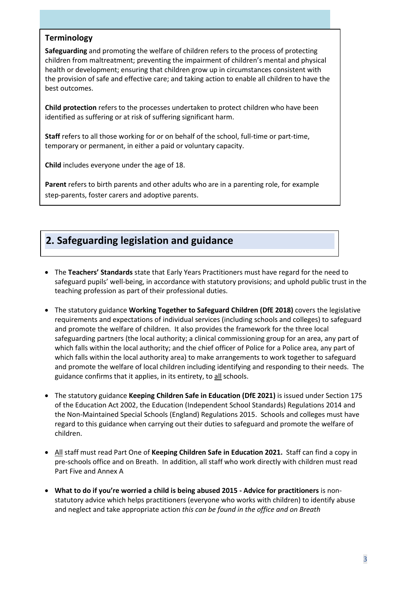#### **Terminology**

**Safeguarding** and promoting the welfare of children refers to the process of protecting children from maltreatment; preventing the impairment of children's mental and physical health or development; ensuring that children grow up in circumstances consistent with the provision of safe and effective care; and taking action to enable all children to have the best outcomes.

**Child protection** refers to the processes undertaken to protect children who have been identified as suffering or at risk of suffering significant harm.

**Staff** refers to all those working for or on behalf of the school, full-time or part-time, temporary or permanent, in either a paid or voluntary capacity.

**Child** includes everyone under the age of 18.

**Parent** refers to birth parents and other adults who are in a parenting role, for example step-parents, foster carers and adoptive parents.

## **2. Safeguarding legislation and guidance**

- The **Teachers' Standards** state that Early Years Practitioners must have regard for the need to safeguard pupils' well-being, in accordance with statutory provisions; and uphold public trust in the teaching profession as part of their professional duties.
- The statutory guidance **Working Together to Safeguard Children (DfE 2018)** covers the legislative requirements and expectations of individual services (including schools and colleges) to safeguard and promote the welfare of children. It also provides the framework for the three local safeguarding partners (the local authority; a clinical commissioning group for an area, any part of which falls within the local authority; and the chief officer of Police for a Police area, any part of which falls within the local authority area) to make arrangements to work together to safeguard and promote the welfare of local children including identifying and responding to their needs. The guidance confirms that it applies, in its entirety, to all schools.
- The statutory guidance **Keeping Children Safe in Education (DfE 2021)** is issued under Section 175 of the Education Act 2002, the Education (Independent School Standards) Regulations 2014 and the Non-Maintained Special Schools (England) Regulations 2015. Schools and colleges must have regard to this guidance when carrying out their duties to safeguard and promote the welfare of children.
- All staff must read Part One of **Keeping Children Safe in Education 2021.** Staff can find a copy in pre-schools office and on Breath. In addition, all staff who work directly with children must read Part Five and Annex A
- **What to do if you're worried a child is being abused 2015 - Advice for practitioners** is nonstatutory advice which helps practitioners (everyone who works with children) to identify abuse and neglect and take appropriate action *this can be found in the office and on Breath*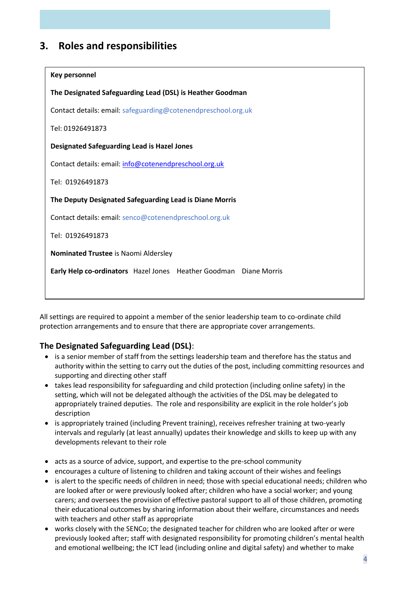## **3. Roles and responsibilities**

| <b>Key personnel</b>                                              |  |  |  |
|-------------------------------------------------------------------|--|--|--|
| The Designated Safeguarding Lead (DSL) is Heather Goodman         |  |  |  |
| Contact details: email: safeguarding@cotenendpreschool.org.uk     |  |  |  |
| Tel: 01926491873                                                  |  |  |  |
| <b>Designated Safeguarding Lead is Hazel Jones</b>                |  |  |  |
| Contact details: email: info@cotenendpreschool.org.uk             |  |  |  |
| Tel: 01926491873                                                  |  |  |  |
| The Deputy Designated Safeguarding Lead is Diane Morris           |  |  |  |
| Contact details: email: senco@cotenendpreschool.org.uk            |  |  |  |
| Tel: 01926491873                                                  |  |  |  |
| <b>Nominated Trustee is Naomi Aldersley</b>                       |  |  |  |
| Early Help co-ordinators Hazel Jones Heather Goodman Diane Morris |  |  |  |
|                                                                   |  |  |  |

All settings are required to appoint a member of the senior leadership team to co-ordinate child protection arrangements and to ensure that there are appropriate cover arrangements.

### **The Designated Safeguarding Lead (DSL)**:

- is a senior member of staff from the settings leadership team and therefore has the status and authority within the setting to carry out the duties of the post, including committing resources and supporting and directing other staff
- takes lead responsibility for safeguarding and child protection (including online safety) in the setting, which will not be delegated although the activities of the DSL may be delegated to appropriately trained deputies. The role and responsibility are explicit in the role holder's job description
- is appropriately trained (including Prevent training), receives refresher training at two-yearly intervals and regularly (at least annually) updates their knowledge and skills to keep up with any developments relevant to their role
- acts as a source of advice, support, and expertise to the pre-school community
- encourages a culture of listening to children and taking account of their wishes and feelings
- is alert to the specific needs of children in need; those with special educational needs; children who are looked after or were previously looked after; children who have a social worker; and young carers; and oversees the provision of effective pastoral support to all of those children, promoting their educational outcomes by sharing information about their welfare, circumstances and needs with teachers and other staff as appropriate
- works closely with the SENCo; the designated teacher for children who are looked after or were previously looked after; staff with designated responsibility for promoting children's mental health and emotional wellbeing; the ICT lead (including online and digital safety) and whether to make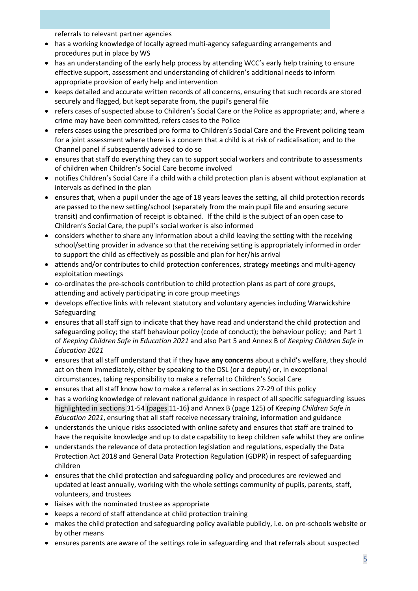referrals to relevant partner agencies

- has a working knowledge of locally agreed multi-agency safeguarding arrangements and procedures put in place by WS
- has an understanding of the early help process by attending WCC's early help training to ensure effective support, assessment and understanding of children's additional needs to inform appropriate provision of early help and intervention
- keeps detailed and accurate written records of all concerns, ensuring that such records are stored securely and flagged, but kept separate from, the pupil's general file
- refers cases of suspected abuse to Children's Social Care or the Police as appropriate; and, where a crime may have been committed, refers cases to the Police
- refers cases using the prescribed pro forma to Children's Social Care and the Prevent policing team for a joint assessment where there is a concern that a child is at risk of radicalisation; and to the Channel panel if subsequently advised to do so
- ensures that staff do everything they can to support social workers and contribute to assessments of children when Children's Social Care become involved
- notifies Children's Social Care if a child with a child protection plan is absent without explanation at intervals as defined in the plan
- ensures that, when a pupil under the age of 18 years leaves the setting, all child protection records are passed to the new setting/school (separately from the main pupil file and ensuring secure transit) and confirmation of receipt is obtained. If the child is the subject of an open case to Children's Social Care, the pupil's social worker is also informed
- considers whether to share any information about a child leaving the setting with the receiving school/setting provider in advance so that the receiving setting is appropriately informed in order to support the child as effectively as possible and plan for her/his arrival
- attends and/or contributes to child protection conferences, strategy meetings and multi-agency exploitation meetings
- co-ordinates the pre-schools contribution to child protection plans as part of core groups, attending and actively participating in core group meetings
- develops effective links with relevant statutory and voluntary agencies including Warwickshire Safeguarding
- ensures that all staff sign to indicate that they have read and understand the child protection and safeguarding policy; the staff behaviour policy (code of conduct); the behaviour policy; and Part 1 of *Keeping Children Safe in Education 2021* and also Part 5 and Annex B of *Keeping Children Safe in Education 2021*
- ensures that all staff understand that if they have **any concerns** about a child's welfare, they should act on them immediately, either by speaking to the DSL (or a deputy) or, in exceptional circumstances, taking responsibility to make a referral to Children's Social Care
- ensures that all staff know how to make a referral as in sections 27-29 of this policy
- has a working knowledge of relevant national guidance in respect of all specific safeguarding issues highlighted in sections 31-54 (pages 11-16) and Annex B (page 125) of *Keeping Children Safe in Education 2021*, ensuring that all staff receive necessary training, information and guidance
- understands the unique risks associated with online safety and ensures that staff are trained to have the requisite knowledge and up to date capability to keep children safe whilst they are online
- understands the relevance of data protection legislation and regulations, especially the Data Protection Act 2018 and General Data Protection Regulation (GDPR) in respect of safeguarding children
- ensures that the child protection and safeguarding policy and procedures are reviewed and updated at least annually, working with the whole settings community of pupils, parents, staff, volunteers, and trustees
- liaises with the nominated trustee as appropriate
- keeps a record of staff attendance at child protection training
- makes the child protection and safeguarding policy available publicly, i.e. on pre-schools website or by other means
- ensures parents are aware of the settings role in safeguarding and that referrals about suspected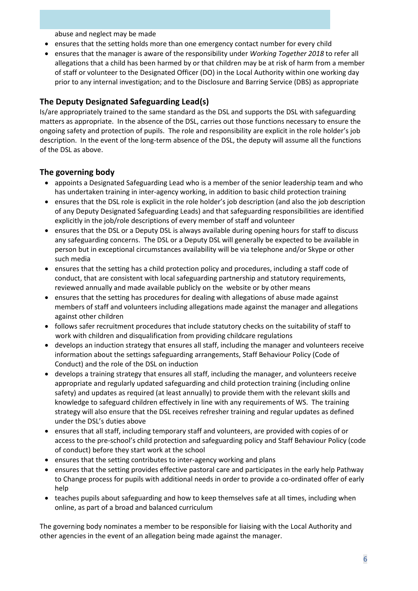abuse and neglect may be made

- ensures that the setting holds more than one emergency contact number for every child
- ensures that the manager is aware of the responsibility under *Working Together 2018* to refer all allegations that a child has been harmed by or that children may be at risk of harm from a member of staff or volunteer to the Designated Officer (DO) in the Local Authority within one working day prior to any internal investigation; and to the Disclosure and Barring Service (DBS) as appropriate

### **The Deputy Designated Safeguarding Lead(s)**

Is/are appropriately trained to the same standard as the DSL and supports the DSL with safeguarding matters as appropriate. In the absence of the DSL, carries out those functions necessary to ensure the ongoing safety and protection of pupils. The role and responsibility are explicit in the role holder's job description. In the event of the long-term absence of the DSL, the deputy will assume all the functions of the DSL as above.

### **The governing body**

- appoints a Designated Safeguarding Lead who is a member of the senior leadership team and who has undertaken training in inter-agency working, in addition to basic child protection training
- ensures that the DSL role is explicit in the role holder's job description (and also the job description of any Deputy Designated Safeguarding Leads) and that safeguarding responsibilities are identified explicitly in the job/role descriptions of every member of staff and volunteer
- ensures that the DSL or a Deputy DSL is always available during opening hours for staff to discuss any safeguarding concerns. The DSL or a Deputy DSL will generally be expected to be available in person but in exceptional circumstances availability will be via telephone and/or Skype or other such media
- ensures that the setting has a child protection policy and procedures, including a staff code of conduct, that are consistent with local safeguarding partnership and statutory requirements, reviewed annually and made available publicly on the website or by other means
- ensures that the setting has procedures for dealing with allegations of abuse made against members of staff and volunteers including allegations made against the manager and allegations against other children
- follows safer recruitment procedures that include statutory checks on the suitability of staff to work with children and disqualification from providing childcare regulations
- develops an induction strategy that ensures all staff, including the manager and volunteers receive information about the settings safeguarding arrangements, Staff Behaviour Policy (Code of Conduct) and the role of the DSL on induction
- develops a training strategy that ensures all staff, including the manager, and volunteers receive appropriate and regularly updated safeguarding and child protection training (including online safety) and updates as required (at least annually) to provide them with the relevant skills and knowledge to safeguard children effectively in line with any requirements of WS. The training strategy will also ensure that the DSL receives refresher training and regular updates as defined under the DSL's duties above
- ensures that all staff, including temporary staff and volunteers, are provided with copies of or access to the pre-school's child protection and safeguarding policy and Staff Behaviour Policy (code of conduct) before they start work at the school
- ensures that the setting contributes to inter-agency working and plans
- ensures that the setting provides effective pastoral care and participates in the early help Pathway to Change process for pupils with additional needs in order to provide a co-ordinated offer of early help
- teaches pupils about safeguarding and how to keep themselves safe at all times, including when online, as part of a broad and balanced curriculum

The governing body nominates a member to be responsible for liaising with the Local Authority and other agencies in the event of an allegation being made against the manager.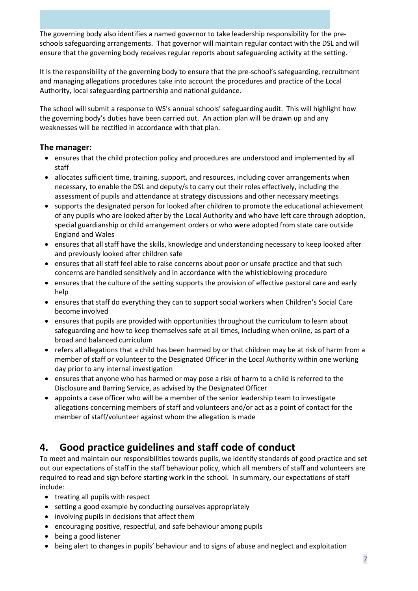The governing body also identifies a named governor to take leadership responsibility for the preschools safeguarding arrangements. That governor will maintain regular contact with the DSL and will ensure that the governing body receives regular reports about safeguarding activity at the setting.

It is the responsibility of the governing body to ensure that the pre-school's safeguarding, recruitment and managing allegations procedures take into account the procedures and practice of the Local Authority, local safeguarding partnership and national guidance.

The school will submit a response to WS's annual schools' safeguarding audit. This will highlight how the governing body's duties have been carried out. An action plan will be drawn up and any weaknesses will be rectified in accordance with that plan.

#### **The manager:**

- ensures that the child protection policy and procedures are understood and implemented by all staff
- allocates sufficient time, training, support, and resources, including cover arrangements when necessary, to enable the DSL and deputy/s to carry out their roles effectively, including the assessment of pupils and attendance at strategy discussions and other necessary meetings
- supports the designated person for looked after children to promote the educational achievement of any pupils who are looked after by the Local Authority and who have left care through adoption, special guardianship or child arrangement orders or who were adopted from state care outside England and Wales
- ensures that all staff have the skills, knowledge and understanding necessary to keep looked after and previously looked after children safe
- ensures that all staff feel able to raise concerns about poor or unsafe practice and that such concerns are handled sensitively and in accordance with the whistleblowing procedure
- ensures that the culture of the setting supports the provision of effective pastoral care and early help
- ensures that staff do everything they can to support social workers when Children's Social Care become involved
- ensures that pupils are provided with opportunities throughout the curriculum to learn about safeguarding and how to keep themselves safe at all times, including when online, as part of a broad and balanced curriculum
- refers all allegations that a child has been harmed by or that children may be at risk of harm from a member of staff or volunteer to the Designated Officer in the Local Authority within one working day prior to any internal investigation
- ensures that anyone who has harmed or may pose a risk of harm to a child is referred to the Disclosure and Barring Service, as advised by the Designated Officer
- appoints a case officer who will be a member of the senior leadership team to investigate allegations concerning members of staff and volunteers and/or act as a point of contact for the member of staff/volunteer against whom the allegation is made

## **4. Good practice guidelines and staff code of conduct**

To meet and maintain our responsibilities towards pupils, we identify standards of good practice and set out our expectations of staff in the staff behaviour policy, which all members of staff and volunteers are required to read and sign before starting work in the school. In summary, our expectations of staff include:

- treating all pupils with respect
- setting a good example by conducting ourselves appropriately
- involving pupils in decisions that affect them
- encouraging positive, respectful, and safe behaviour among pupils
- being a good listener
- being alert to changes in pupils' behaviour and to signs of abuse and neglect and exploitation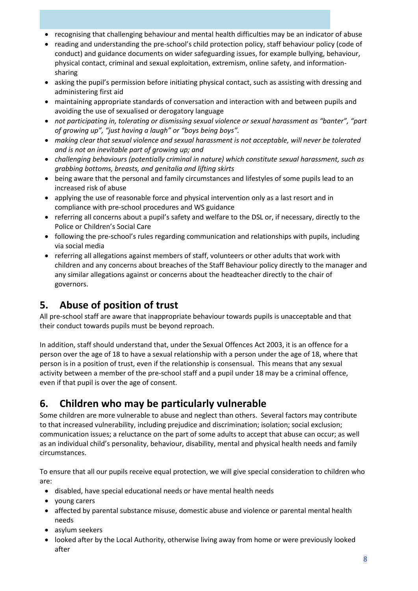- recognising that challenging behaviour and mental health difficulties may be an indicator of abuse
- reading and understanding the pre-school's child protection policy, staff behaviour policy (code of conduct) and guidance documents on wider safeguarding issues, for example bullying, behaviour, physical contact, criminal and sexual exploitation, extremism, online safety, and informationsharing
- asking the pupil's permission before initiating physical contact, such as assisting with dressing and administering first aid
- maintaining appropriate standards of conversation and interaction with and between pupils and avoiding the use of sexualised or derogatory language
- *not participating in, tolerating or dismissing sexual violence or sexual harassment as "banter", "part of growing up", "just having a laugh" or "boys being boys".*
- *making clear that sexual violence and sexual harassment is not acceptable, will never be tolerated and is not an inevitable part of growing up; and*
- *challenging behaviours (potentially criminal in nature) which constitute sexual harassment, such as grabbing bottoms, breasts, and genitalia and lifting skirts*
- being aware that the personal and family circumstances and lifestyles of some pupils lead to an increased risk of abuse
- applying the use of reasonable force and physical intervention only as a last resort and in compliance with pre-school procedures and WS guidance
- referring all concerns about a pupil's safety and welfare to the DSL or, if necessary, directly to the Police or Children's Social Care
- following the pre-school's rules regarding communication and relationships with pupils, including via social media
- referring all allegations against members of staff, volunteers or other adults that work with children and any concerns about breaches of the Staff Behaviour policy directly to the manager and any similar allegations against or concerns about the headteacher directly to the chair of governors.

## **5. Abuse of position of trust**

All pre-school staff are aware that inappropriate behaviour towards pupils is unacceptable and that their conduct towards pupils must be beyond reproach.

In addition, staff should understand that, under the Sexual Offences Act 2003, it is an offence for a person over the age of 18 to have a sexual relationship with a person under the age of 18, where that person is in a position of trust, even if the relationship is consensual. This means that any sexual activity between a member of the pre-school staff and a pupil under 18 may be a criminal offence, even if that pupil is over the age of consent.

## **6. Children who may be particularly vulnerable**

Some children are more vulnerable to abuse and neglect than others. Several factors may contribute to that increased vulnerability, including prejudice and discrimination; isolation; social exclusion; communication issues; a reluctance on the part of some adults to accept that abuse can occur; as well as an individual child's personality, behaviour, disability, mental and physical health needs and family circumstances.

To ensure that all our pupils receive equal protection, we will give special consideration to children who are:

- disabled, have special educational needs or have mental health needs
- young carers
- affected by parental substance misuse, domestic abuse and violence or parental mental health needs
- asylum seekers
- looked after by the Local Authority, otherwise living away from home or were previously looked after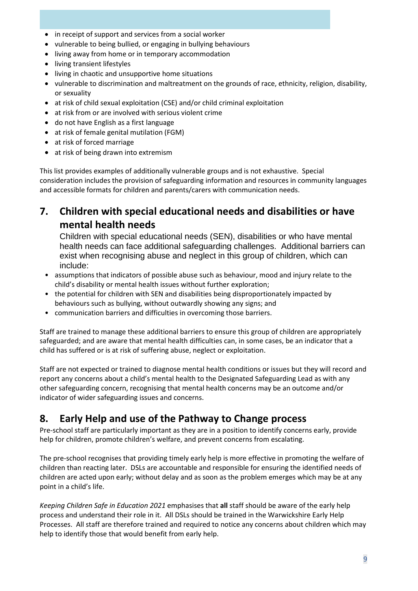- in receipt of support and services from a social worker
- vulnerable to being bullied, or engaging in bullying behaviours
- living away from home or in temporary accommodation
- living transient lifestyles
- living in chaotic and unsupportive home situations
- vulnerable to discrimination and maltreatment on the grounds of race, ethnicity, religion, disability, or sexuality
- at risk of child sexual exploitation (CSE) and/or child criminal exploitation
- at risk from or are involved with serious violent crime
- do not have English as a first language
- at risk of female genital mutilation (FGM)
- at risk of forced marriage
- at risk of being drawn into extremism

This list provides examples of additionally vulnerable groups and is not exhaustive. Special consideration includes the provision of safeguarding information and resources in community languages and accessible formats for children and parents/carers with communication needs.

## **7. Children with special educational needs and disabilities or have mental health needs**

Children with special educational needs (SEN), disabilities or who have mental health needs can face additional safeguarding challenges. Additional barriers can exist when recognising abuse and neglect in this group of children, which can include:

- assumptions that indicators of possible abuse such as behaviour, mood and injury relate to the child's disability or mental health issues without further exploration;
- the potential for children with SEN and disabilities being disproportionately impacted by behaviours such as bullying, without outwardly showing any signs; and
- communication barriers and difficulties in overcoming those barriers.

Staff are trained to manage these additional barriers to ensure this group of children are appropriately safeguarded; and are aware that mental health difficulties can, in some cases, be an indicator that a child has suffered or is at risk of suffering abuse, neglect or exploitation.

Staff are not expected or trained to diagnose mental health conditions or issues but they will record and report any concerns about a child's mental health to the Designated Safeguarding Lead as with any other safeguarding concern, recognising that mental health concerns may be an outcome and/or indicator of wider safeguarding issues and concerns.

### **8. Early Help and use of the Pathway to Change process**

Pre-school staff are particularly important as they are in a position to identify concerns early, provide help for children, promote children's welfare, and prevent concerns from escalating.

The pre-school recognises that providing timely early help is more effective in promoting the welfare of children than reacting later. DSLs are accountable and responsible for ensuring the identified needs of children are acted upon early; without delay and as soon as the problem emerges which may be at any point in a child's life.

*Keeping Children Safe in Education 2021* emphasises that **all** staff should be aware of the early help process and understand their role in it. All DSLs should be trained in the Warwickshire Early Help Processes. All staff are therefore trained and required to notice any concerns about children which may help to identify those that would benefit from early help.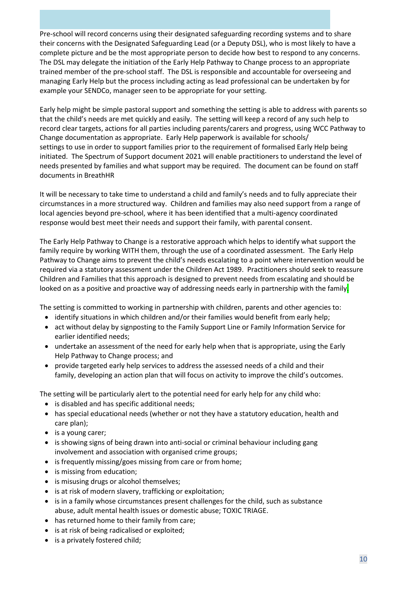Pre-school will record concerns using their designated safeguarding recording systems and to share their concerns with the Designated Safeguarding Lead (or a Deputy DSL), who is most likely to have a complete picture and be the most appropriate person to decide how best to respond to any concerns. The DSL may delegate the initiation of the Early Help Pathway to Change process to an appropriate trained member of the pre-school staff. The DSL is responsible and accountable for overseeing and managing Early Help but the process including acting as lead professional can be undertaken by for example your SENDCo, manager seen to be appropriate for your setting.

Early help might be simple pastoral support and something the setting is able to address with parents so that the child's needs are met quickly and easily. The setting will keep a record of any such help to record clear targets, actions for all parties including parents/carers and progress, using WCC Pathway to Change documentation as appropriate. Early Help paperwork is available for schools/ settings to use in order to support families prior to the requirement of formalised Early Help being initiated. The Spectrum of Support document 2021 will enable practitioners to understand the level of needs presented by families and what support may be required. The document can be found on staff documents in BreathHR

It will be necessary to take time to understand a child and family's needs and to fully appreciate their circumstances in a more structured way. Children and families may also need support from a range of local agencies beyond pre-school, where it has been identified that a multi-agency coordinated response would best meet their needs and support their family, with parental consent.

The Early Help Pathway to Change is a restorative approach which helps to identify what support the family require by working WITH them, through the use of a coordinated assessment. The Early Help Pathway to Change aims to prevent the child's needs escalating to a point where intervention would be required via a statutory assessment under the Children Act 1989. Practitioners should seek to reassure Children and Families that this approach is designed to prevent needs from escalating and should be looked on as a positive and proactive way of addressing needs early in partnership with the family.

The setting is committed to working in partnership with children, parents and other agencies to:

- identify situations in which children and/or their families would benefit from early help;
- act without delay by signposting to the Family Support Line or Family Information Service for earlier identified needs;
- undertake an assessment of the need for early help when that is appropriate, using the Early Help Pathway to Change process; and
- provide targeted early help services to address the assessed needs of a child and their family, developing an action plan that will focus on activity to improve the child's outcomes.

The setting will be particularly alert to the potential need for early help for any child who:

- is disabled and has specific additional needs;
- has special educational needs (whether or not they have a statutory education, health and care plan);
- is a young carer;
- is showing signs of being drawn into anti-social or criminal behaviour including gang involvement and association with organised crime groups;
- is frequently missing/goes missing from care or from home;
- is missing from education;
- is misusing drugs or alcohol themselves;
- is at risk of modern slavery, trafficking or exploitation;
- is in a family whose circumstances present challenges for the child, such as substance abuse, adult mental health issues or domestic abuse; TOXIC TRIAGE.
- has returned home to their family from care;
- is at risk of being radicalised or exploited;
- is a privately fostered child;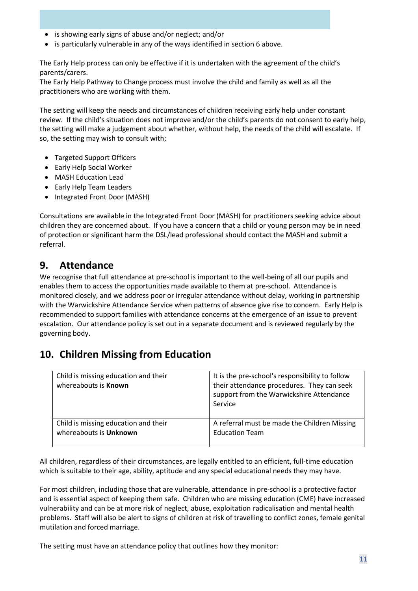- is showing early signs of abuse and/or neglect; and/or
- is particularly vulnerable in any of the ways identified in section 6 above.

The Early Help process can only be effective if it is undertaken with the agreement of the child's parents/carers.

The Early Help Pathway to Change process must involve the child and family as well as all the practitioners who are working with them.

The setting will keep the needs and circumstances of children receiving early help under constant review. If the child's situation does not improve and/or the child's parents do not consent to early help, the setting will make a judgement about whether, without help, the needs of the child will escalate. If so, the setting may wish to consult with;

- Targeted Support Officers
- Early Help Social Worker
- MASH Education Lead
- Early Help Team Leaders
- Integrated Front Door (MASH)

Consultations are available in the Integrated Front Door (MASH) for practitioners seeking advice about children they are concerned about. If you have a concern that a child or young person may be in need of protection or significant harm the DSL/lead professional should contact the MASH and submit a referral.

### **9. Attendance**

We recognise that full attendance at pre-school is important to the well-being of all our pupils and enables them to access the opportunities made available to them at pre-school. Attendance is monitored closely, and we address poor or irregular attendance without delay, working in partnership with the Warwickshire Attendance Service when patterns of absence give rise to concern. Early Help is recommended to support families with attendance concerns at the emergence of an issue to prevent escalation. Our attendance policy is set out in a separate document and is reviewed regularly by the governing body.

## **10. Children Missing from Education**

| Child is missing education and their<br>whereabouts is Known | It is the pre-school's responsibility to follow<br>their attendance procedures. They can seek<br>support from the Warwickshire Attendance<br>Service |
|--------------------------------------------------------------|------------------------------------------------------------------------------------------------------------------------------------------------------|
| Child is missing education and their                         | A referral must be made the Children Missing                                                                                                         |
| whereabouts is Unknown                                       | <b>Education Team</b>                                                                                                                                |

All children, regardless of their circumstances, are legally entitled to an efficient, full-time education which is suitable to their age, ability, aptitude and any special educational needs they may have.

For most children, including those that are vulnerable, attendance in pre-school is a protective factor and is essential aspect of keeping them safe. Children who are missing education (CME) have increased vulnerability and can be at more risk of neglect, abuse, exploitation radicalisation and mental health problems. Staff will also be alert to signs of children at risk of travelling to conflict zones, female genital mutilation and forced marriage.

The setting must have an attendance policy that outlines how they monitor: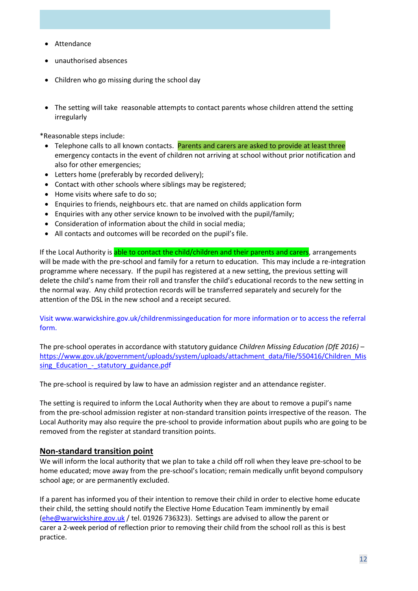- **Attendance**
- unauthorised absences
- Children who go missing during the school day
- The setting will take reasonable attempts to contact parents whose children attend the setting irregularly

\*Reasonable steps include:

- Telephone calls to all known contacts. Parents and carers are asked to provide at least three emergency contacts in the event of children not arriving at school without prior notification and also for other emergencies;
- Letters home (preferably by recorded delivery);
- Contact with other schools where siblings may be registered;
- Home visits where safe to do so;
- Enquiries to friends, neighbours etc. that are named on childs application form
- Enquiries with any other service known to be involved with the pupil/family;
- Consideration of information about the child in social media;
- All contacts and outcomes will be recorded on the pupil's file.

If the Local Authority is able to contact the child/children and their parents and carers, arrangements will be made with the pre-school and family for a return to education. This may include a re-integration programme where necessary. If the pupil has registered at a new setting, the previous setting will delete the child's name from their roll and transfer the child's educational records to the new setting in the normal way. Any child protection records will be transferred separately and securely for the attention of the DSL in the new school and a receipt secured.

Visit [www.warwickshire.gov.uk/childrenmissingeducation](http://www.warwickshire.gov.uk/childrenmissingeducation) for more information or to access the referral form.

The pre-school operates in accordance with statutory guidance *Children Missing Education (DfE 2016)* – [https://www.gov.uk/government/uploads/system/uploads/attachment\\_data/file/550416/Children\\_Mis](https://www.gov.uk/government/uploads/system/uploads/attachment_data/file/550416/Children_Missing_Education_-_statutory_guidance.pdf) [sing\\_Education\\_-\\_statutory\\_guidance.pdf](https://www.gov.uk/government/uploads/system/uploads/attachment_data/file/550416/Children_Missing_Education_-_statutory_guidance.pdf)

The pre-school is required by law to have an admission register and an attendance register.

The setting is required to inform the Local Authority when they are about to remove a pupil's name from the pre-school admission register at non-standard transition points irrespective of the reason. The Local Authority may also require the pre-school to provide information about pupils who are going to be removed from the register at standard transition points.

#### **Non-standard transition point**

We will inform the local authority that we plan to take a child off roll when they leave pre-school to be home educated; move away from the pre-school's location; remain medically unfit beyond compulsory school age; or are permanently excluded.

If a parent has informed you of their intention to remove their child in order to elective home educate their child, the setting should notify the Elective Home Education Team imminently by email [\(ehe@warwickshire.gov.uk](mailto:ehe@warwickshire.gov.uk) / tel. 01926 736323). Settings are advised to allow the parent or carer a 2-week period of reflection prior to removing their child from the school roll as this is best practice.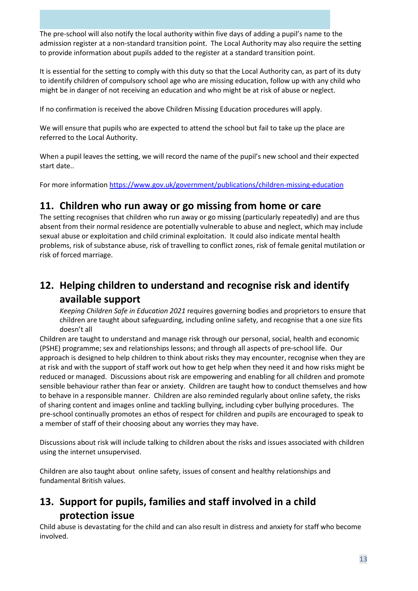The pre-school will also notify the local authority within five days of adding a pupil's name to the admission register at a non-standard transition point. The Local Authority may also require the setting to provide information about pupils added to the register at a standard transition point.

It is essential for the setting to comply with this duty so that the Local Authority can, as part of its duty to identify children of compulsory school age who are missing education, follow up with any child who might be in danger of not receiving an education and who might be at risk of abuse or neglect.

If no confirmation is received the above Children Missing Education procedures will apply.

We will ensure that pupils who are expected to attend the school but fail to take up the place are referred to the Local Authority.

When a pupil leaves the setting, we will record the name of the pupil's new school and their expected start date..

For more information<https://www.gov.uk/government/publications/children-missing-education>

## **11. Children who run away or go missing from home or care**

The setting recognises that children who run away or go missing (particularly repeatedly) and are thus absent from their normal residence are potentially vulnerable to abuse and neglect, which may include sexual abuse or exploitation and child criminal exploitation. It could also indicate mental health problems, risk of substance abuse, risk of travelling to conflict zones, risk of female genital mutilation or risk of forced marriage.

# **12. Helping children to understand and recognise risk and identify available support**

*Keeping Children Safe in Education 2021* requires governing bodies and proprietors to ensure that children are taught about safeguarding, including online safety, and recognise that a one size fits doesn't all

Children are taught to understand and manage risk through our personal, social, health and economic (PSHE) programme; sex and relationships lessons; and through all aspects of pre-school life. Our approach is designed to help children to think about risks they may encounter, recognise when they are at risk and with the support of staff work out how to get help when they need it and how risks might be reduced or managed. Discussions about risk are empowering and enabling for all children and promote sensible behaviour rather than fear or anxiety. Children are taught how to conduct themselves and how to behave in a responsible manner. Children are also reminded regularly about online safety, the risks of sharing content and images online and tackling bullying, including cyber bullying procedures. The pre-school continually promotes an ethos of respect for children and pupils are encouraged to speak to a member of staff of their choosing about any worries they may have.

Discussions about risk will include talking to children about the risks and issues associated with children using the internet unsupervised.

Children are also taught about online safety, issues of consent and healthy relationships and fundamental British values.

## **13. Support for pupils, families and staff involved in a child protection issue**

Child abuse is devastating for the child and can also result in distress and anxiety for staff who become involved.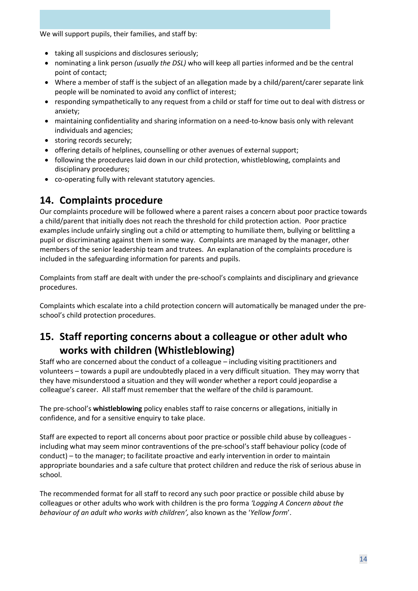We will support pupils, their families, and staff by:

- taking all suspicions and disclosures seriously;
- nominating a link person *(usually the DSL)* who will keep all parties informed and be the central point of contact;
- Where a member of staff is the subject of an allegation made by a child/parent/carer separate link people will be nominated to avoid any conflict of interest;
- responding sympathetically to any request from a child or staff for time out to deal with distress or anxiety;
- maintaining confidentiality and sharing information on a need-to-know basis only with relevant individuals and agencies;
- storing records securely;
- offering details of helplines, counselling or other avenues of external support;
- following the procedures laid down in our child protection, whistleblowing, complaints and disciplinary procedures;
- co-operating fully with relevant statutory agencies.

### **14. Complaints procedure**

Our complaints procedure will be followed where a parent raises a concern about poor practice towards a child/parent that initially does not reach the threshold for child protection action. Poor practice examples include unfairly singling out a child or attempting to humiliate them, bullying or belittling a pupil or discriminating against them in some way. Complaints are managed by the manager, other members of the senior leadership team and trutees. An explanation of the complaints procedure is included in the safeguarding information for parents and pupils.

Complaints from staff are dealt with under the pre-school's complaints and disciplinary and grievance procedures.

Complaints which escalate into a child protection concern will automatically be managed under the preschool's child protection procedures.

## **15. Staff reporting concerns about a colleague or other adult who works with children (Whistleblowing)**

Staff who are concerned about the conduct of a colleague – including visiting practitioners and volunteers – towards a pupil are undoubtedly placed in a very difficult situation. They may worry that they have misunderstood a situation and they will wonder whether a report could jeopardise a colleague's career. All staff must remember that the welfare of the child is paramount.

The pre-school's **whistleblowing** policy enables staff to raise concerns or allegations, initially in confidence, and for a sensitive enquiry to take place.

Staff are expected to report all concerns about poor practice or possible child abuse by colleagues including what may seem minor contraventions of the pre-school's staff behaviour policy (code of conduct) – to the manager; to facilitate proactive and early intervention in order to maintain appropriate boundaries and a safe culture that protect children and reduce the risk of serious abuse in school.

The recommended format for all staff to record any such poor practice or possible child abuse by colleagues or other adults who work with children is the pro forma *'Logging A Concern about the behaviour of an adult who works with children',* also known as the '*Yellow form*'.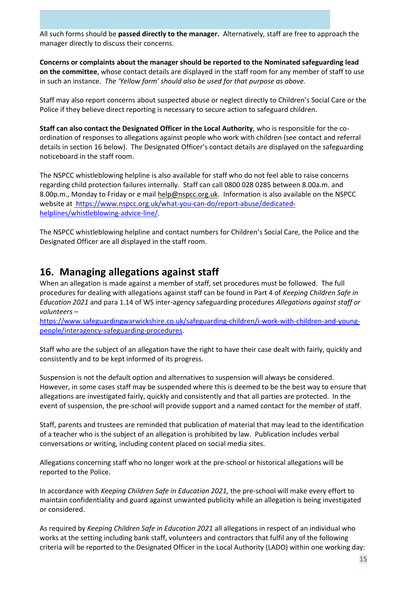All such forms should be **passed directly to the manager.** Alternatively, staff are free to approach the manager directly to discuss their concerns.

**Concerns or complaints about the manager should be reported to the Nominated safeguarding lead on the committee**, whose contact details are displayed in the staff room for any member of staff to use in such an instance. *The 'Yellow form' should also be used for that purpose as above.*

Staff may also report concerns about suspected abuse or neglect directly to Children's Social Care or the Police if they believe direct reporting is necessary to secure action to safeguard children.

**Staff can also contact the Designated Officer in the Local Authority**, who is responsible for the coordination of responses to allegations against people who work with children (see contact and referral details in section 16 below). The Designated Officer's contact details are displayed on the safeguarding noticeboard in the staff room.

The NSPCC whistleblowing helpline is also available for staff who do not feel able to raise concerns regarding child protection failures internally. Staff can call 0800 028 0285 between 8.00a.m. and 8.00p.m., Monday to Friday or e mai[l help@nspcc.org.uk.](mailto:help@nspcc.org.uk) Information is also available on the NSPCC website at [https://www.nspcc.org.uk/what-you-can-do/report-abuse/dedicated](https://www.nspcc.org.uk/what-you-can-do/report-abuse/dedicated-helplines/whistleblowing-advice-line/)[helplines/whistleblowing-advice-line/.](https://www.nspcc.org.uk/what-you-can-do/report-abuse/dedicated-helplines/whistleblowing-advice-line/)

The NSPCC whistleblowing helpline and contact numbers for Children's Social Care, the Police and the Designated Officer are all displayed in the staff room.

### **16. Managing allegations against staff**

When an allegation is made against a member of staff, set procedures must be followed. The full procedures for dealing with allegations against staff can be found in Part 4 of *Keeping Children Safe in Education 2021* and para 1.14 of WS inter-agency safeguarding procedures *Allegations against staff or volunteers* –

[https://www.safeguardingwarwickshire.co.uk/safeguarding-children/i-work-with-children-and-young](https://www.safeguardingwarwickshire.co.uk/safeguarding-children/i-work-with-children-and-young-people/interagency-safeguarding-procedures)[people/interagency-safeguarding-procedures.](https://www.safeguardingwarwickshire.co.uk/safeguarding-children/i-work-with-children-and-young-people/interagency-safeguarding-procedures)

Staff who are the subject of an allegation have the right to have their case dealt with fairly, quickly and consistently and to be kept informed of its progress.

Suspension is not the default option and alternatives to suspension will always be considered. However, in some cases staff may be suspended where this is deemed to be the best way to ensure that allegations are investigated fairly, quickly and consistently and that all parties are protected. In the event of suspension, the pre-school will provide support and a named contact for the member of staff.

Staff, parents and trustees are reminded that publication of material that may lead to the identification of a teacher who is the subject of an allegation is prohibited by law. Publication includes verbal conversations or writing, including content placed on social media sites.

Allegations concerning staff who no longer work at the pre-school or historical allegations will be reported to the Police.

In accordance with *Keeping Children Safe in Education 2021,* the pre-school will make every effort to maintain confidentiality and guard against unwanted publicity while an allegation is being investigated or considered.

As required by *Keeping Children Safe in Education 2021* all allegations in respect of an individual who works at the setting including bank staff, volunteers and contractors that fulfil any of the following criteria will be reported to the Designated Officer in the Local Authority (LADO) within one working day: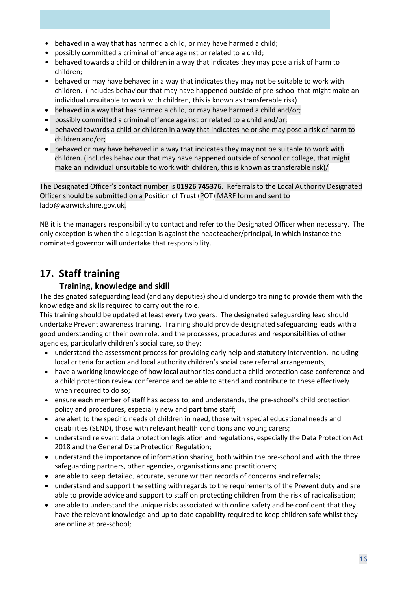- behaved in a way that has harmed a child, or may have harmed a child;
- possibly committed a criminal offence against or related to a child;
- behaved towards a child or children in a way that indicates they may pose a risk of harm to children;
- behaved or may have behaved in a way that indicates they may not be suitable to work with children. (Includes behaviour that may have happened outside of pre-school that might make an individual unsuitable to work with children, this is known as transferable risk)
- behaved in a way that has harmed a child, or may have harmed a child and/or;
- possibly committed a criminal offence against or related to a child and/or;
- behaved towards a child or children in a way that indicates he or she may pose a risk of harm to children and/or;
- behaved or may have behaved in a way that indicates they may not be suitable to work with children. (includes behaviour that may have happened outside of school or college, that might make an individual unsuitable to work with children, this is known as transferable risk)/

The Designated Officer's contact number is **01926 745376**. Referrals to the Local Authority Designated Officer should be submitted on a Position of Trust (POT) MARF form and sent to [lado@warwickshire.gov.uk.](mailto:lado@warwickshire.gov.uk)

NB it is the managers responsibility to contact and refer to the Designated Officer when necessary. The only exception is when the allegation is against the headteacher/principal, in which instance the nominated governor will undertake that responsibility.

## **17. Staff training**

#### **Training, knowledge and skill**

The designated safeguarding lead (and any deputies) should undergo training to provide them with the knowledge and skills required to carry out the role.

This training should be updated at least every two years. The designated safeguarding lead should undertake Prevent awareness training. Training should provide designated safeguarding leads with a good understanding of their own role, and the processes, procedures and responsibilities of other agencies, particularly children's social care, so they:

- understand the assessment process for providing early help and statutory intervention, including local criteria for action and local authority children's social care referral arrangements;
- have a working knowledge of how local authorities conduct a child protection case conference and a child protection review conference and be able to attend and contribute to these effectively when required to do so;
- ensure each member of staff has access to, and understands, the pre-school's child protection policy and procedures, especially new and part time staff;
- are alert to the specific needs of children in need, those with special educational needs and disabilities (SEND), those with relevant health conditions and young carers;
- understand relevant data protection legislation and regulations, especially the Data Protection Act 2018 and the General Data Protection Regulation;
- understand the importance of information sharing, both within the pre-school and with the three safeguarding partners, other agencies, organisations and practitioners;
- are able to keep detailed, accurate, secure written records of concerns and referrals;
- understand and support the setting with regards to the requirements of the Prevent duty and are able to provide advice and support to staff on protecting children from the risk of radicalisation;
- are able to understand the unique risks associated with online safety and be confident that they have the relevant knowledge and up to date capability required to keep children safe whilst they are online at pre-school;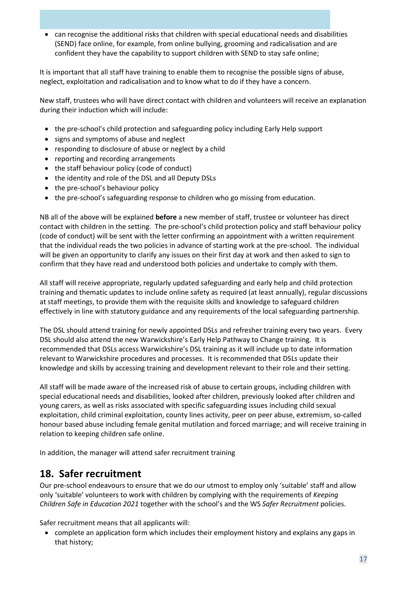• can recognise the additional risks that children with special educational needs and disabilities (SEND) face online, for example, from online bullying, grooming and radicalisation and are confident they have the capability to support children with SEND to stay safe online;

It is important that all staff have training to enable them to recognise the possible signs of abuse, neglect, exploitation and radicalisation and to know what to do if they have a concern.

New staff, trustees who will have direct contact with children and volunteers will receive an explanation during their induction which will include:

- the pre-school's child protection and safeguarding policy including Early Help support
- signs and symptoms of abuse and neglect
- responding to disclosure of abuse or neglect by a child
- reporting and recording arrangements
- the staff behaviour policy (code of conduct)
- the identity and role of the DSL and all Deputy DSLs
- the pre-school's behaviour policy
- the pre-school's safeguarding response to children who go missing from education.

NB all of the above will be explained **before** a new member of staff, trustee or volunteer has direct contact with children in the setting. The pre-school's child protection policy and staff behaviour policy (code of conduct) will be sent with the letter confirming an appointment with a written requirement that the individual reads the two policies in advance of starting work at the pre-school. The individual will be given an opportunity to clarify any issues on their first day at work and then asked to sign to confirm that they have read and understood both policies and undertake to comply with them.

All staff will receive appropriate, regularly updated safeguarding and early help and child protection training and thematic updates to include online safety as required (at least annually), regular discussions at staff meetings, to provide them with the requisite skills and knowledge to safeguard children effectively in line with statutory guidance and any requirements of the local safeguarding partnership.

The DSL should attend training for newly appointed DSLs and refresher training every two years. Every DSL should also attend the new Warwickshire's Early Help Pathway to Change training. It is recommended that DSLs access Warwickshire's DSL training as it will include up to date information relevant to Warwickshire procedures and processes. It is recommended that DSLs update their knowledge and skills by accessing training and development relevant to their role and their setting.

All staff will be made aware of the increased risk of abuse to certain groups, including children with special educational needs and disabilities, looked after children, previously looked after children and young carers, as well as risks associated with specific safeguarding issues including child sexual exploitation, child criminal exploitation, county lines activity, peer on peer abuse, extremism, so-called honour based abuse including female genital mutilation and forced marriage; and will receive training in relation to keeping children safe online.

In addition, the manager will attend safer recruitment training

### **18. Safer recruitment**

Our pre-school endeavours to ensure that we do our utmost to employ only 'suitable' staff and allow only 'suitable' volunteers to work with children by complying with the requirements of *Keeping Children Safe in Education 2021* together with the school's and the WS *Safer Recruitment* policies.

Safer recruitment means that all applicants will:

• complete an application form which includes their employment history and explains any gaps in that history;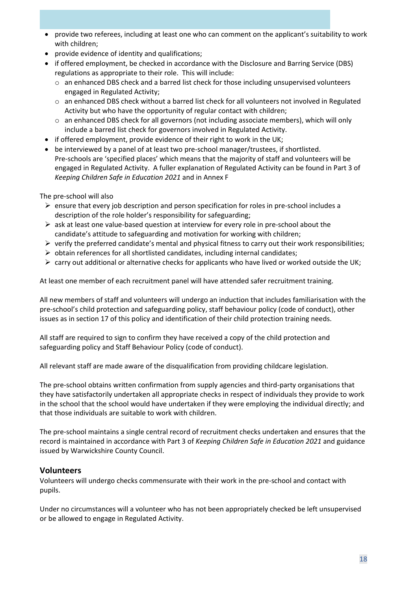- provide two referees, including at least one who can comment on the applicant's suitability to work with children;
- provide evidence of identity and qualifications;
- if offered employment, be checked in accordance with the Disclosure and Barring Service (DBS) regulations as appropriate to their role. This will include:
	- $\circ$  an enhanced DBS check and a barred list check for those including unsupervised volunteers engaged in Regulated Activity;
	- o an enhanced DBS check without a barred list check for all volunteers not involved in Regulated Activity but who have the opportunity of regular contact with children;
	- $\circ$  an enhanced DBS check for all governors (not including associate members), which will only include a barred list check for governors involved in Regulated Activity.
- if offered employment, provide evidence of their right to work in the UK;
- be interviewed by a panel of at least two pre-school manager/trustees, if shortlisted. Pre-schools are 'specified places' which means that the majority of staff and volunteers will be engaged in Regulated Activity. A fuller explanation of Regulated Activity can be found in Part 3 of *Keeping Children Safe in Education 2021* and in Annex F

The pre-school will also

- $\triangleright$  ensure that every job description and person specification for roles in pre-school includes a description of the role holder's responsibility for safeguarding;
- $\triangleright$  ask at least one value-based question at interview for every role in pre-school about the candidate's attitude to safeguarding and motivation for working with children;
- $\triangleright$  verify the preferred candidate's mental and physical fitness to carry out their work responsibilities;
- $\triangleright$  obtain references for all shortlisted candidates, including internal candidates;
- $\triangleright$  carry out additional or alternative checks for applicants who have lived or worked outside the UK;

At least one member of each recruitment panel will have attended safer recruitment training.

All new members of staff and volunteers will undergo an induction that includes familiarisation with the pre-school's child protection and safeguarding policy, staff behaviour policy (code of conduct), other issues as in section 17 of this policy and identification of their child protection training needs.

All staff are required to sign to confirm they have received a copy of the child protection and safeguarding policy and Staff Behaviour Policy (code of conduct).

All relevant staff are made aware of the disqualification from providing childcare legislation.

The pre-school obtains written confirmation from supply agencies and third-party organisations that they have satisfactorily undertaken all appropriate checks in respect of individuals they provide to work in the school that the school would have undertaken if they were employing the individual directly; and that those individuals are suitable to work with children.

The pre-school maintains a single central record of recruitment checks undertaken and ensures that the record is maintained in accordance with Part 3 of *Keeping Children Safe in Education 2021* and guidance issued by Warwickshire County Council.

#### **Volunteers**

Volunteers will undergo checks commensurate with their work in the pre-school and contact with pupils.

Under no circumstances will a volunteer who has not been appropriately checked be left unsupervised or be allowed to engage in Regulated Activity.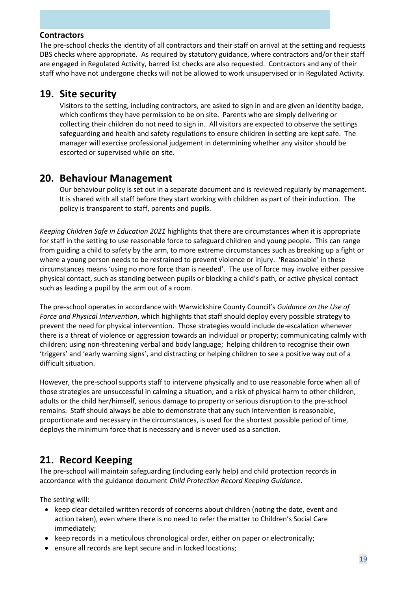#### **Contractors**

The pre-school checks the identity of all contractors and their staff on arrival at the setting and requests DBS checks where appropriate. As required by statutory guidance, where contractors and/or their staff are engaged in Regulated Activity, barred list checks are also requested. Contractors and any of their staff who have not undergone checks will not be allowed to work unsupervised or in Regulated Activity.

### **19. Site security**

Visitors to the setting, including contractors, are asked to sign in and are given an identity badge, which confirms they have permission to be on site. Parents who are simply delivering or collecting their children do not need to sign in. All visitors are expected to observe the settings safeguarding and health and safety regulations to ensure children in setting are kept safe. The manager will exercise professional judgement in determining whether any visitor should be escorted or supervised while on site.

### **20. Behaviour Management**

Our behaviour policy is set out in a separate document and is reviewed regularly by management. It is shared with all staff before they start working with children as part of their induction. The policy is transparent to staff, parents and pupils.

*Keeping Children Safe in Education 2021* highlights that there are circumstances when it is appropriate for staff in the setting to use reasonable force to safeguard children and young people. This can range from guiding a child to safety by the arm, to more extreme circumstances such as breaking up a fight or where a young person needs to be restrained to prevent violence or injury. 'Reasonable' in these circumstances means 'using no more force than is needed'. The use of force may involve either passive physical contact, such as standing between pupils or blocking a child's path, or active physical contact such as leading a pupil by the arm out of a room.

The pre-school operates in accordance with Warwickshire County Council's *Guidance on the Use of Force and Physical Intervention*, which highlights that staff should deploy every possible strategy to prevent the need for physical intervention. Those strategies would include de-escalation whenever there is a threat of violence or aggression towards an individual or property; communicating calmly with children; using non-threatening verbal and body language; helping children to recognise their own 'triggers' and 'early warning signs', and distracting or helping children to see a positive way out of a difficult situation.

However, the pre-school supports staff to intervene physically and to use reasonable force when all of those strategies are unsuccessful in calming a situation; and a risk of physical harm to other children, adults or the child her/himself, serious damage to property or serious disruption to the pre-school remains. Staff should always be able to demonstrate that any such intervention is reasonable, proportionate and necessary in the circumstances, is used for the shortest possible period of time, deploys the minimum force that is necessary and is never used as a sanction.

## **21. Record Keeping**

The pre-school will maintain safeguarding (including early help) and child protection records in accordance with the guidance document *Child Protection Record Keeping Guidance*.

The setting will:

- keep clear detailed written records of concerns about children (noting the date, event and action taken), even where there is no need to refer the matter to Children's Social Care immediately;
- keep records in a meticulous chronological order, either on paper or electronically;
- ensure all records are kept secure and in locked locations;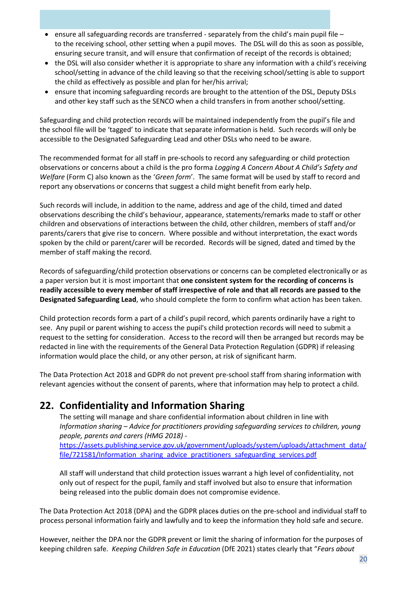- ensure all safeguarding records are transferred separately from the child's main pupil file to the receiving school, other setting when a pupil moves. The DSL will do this as soon as possible, ensuring secure transit, and will ensure that confirmation of receipt of the records is obtained;
- the DSL will also consider whether it is appropriate to share any information with a child's receiving school/setting in advance of the child leaving so that the receiving school/setting is able to support the child as effectively as possible and plan for her/his arrival;
- ensure that incoming safeguarding records are brought to the attention of the DSL, Deputy DSLs and other key staff such as the SENCO when a child transfers in from another school/setting.

Safeguarding and child protection records will be maintained independently from the pupil's file and the school file will be 'tagged' to indicate that separate information is held. Such records will only be accessible to the Designated Safeguarding Lead and other DSLs who need to be aware.

The recommended format for all staff in pre-schools to record any safeguarding or child protection observations or concerns about a child is the pro forma *Logging A Concern About A Child's Safety and Welfare* (Form C) also known as the '*Green form*'. The same format will be used by staff to record and report any observations or concerns that suggest a child might benefit from early help.

Such records will include, in addition to the name, address and age of the child, timed and dated observations describing the child's behaviour, appearance, statements/remarks made to staff or other children and observations of interactions between the child, other children, members of staff and/or parents/carers that give rise to concern. Where possible and without interpretation, the exact words spoken by the child or parent/carer will be recorded. Records will be signed, dated and timed by the member of staff making the record.

Records of safeguarding/child protection observations or concerns can be completed electronically or as a paper version but it is most important that **one consistent system for the recording of concerns is readily accessible to every member of staff irrespective of role and that all records are passed to the Designated Safeguarding Lead**, who should complete the form to confirm what action has been taken.

Child protection records form a part of a child's pupil record, which parents ordinarily have a right to see. Any pupil or parent wishing to access the pupil's child protection records will need to submit a request to the setting for consideration. Access to the record will then be arranged but records may be redacted in line with the requirements of the General Data Protection Regulation (GDPR) if releasing information would place the child, or any other person, at risk of significant harm.

The Data Protection Act 2018 and GDPR do not prevent pre-school staff from sharing information with relevant agencies without the consent of parents, where that information may help to protect a child.

## **22. Confidentiality and Information Sharing**

The setting will manage and share confidential information about children in line with *Information sharing* – *Advice for practitioners providing safeguarding services to children, young people, parents and carers (HMG 2018) -*

[https://assets.publishing.service.gov.uk/government/uploads/system/uploads/attachment\\_data/](https://assets.publishing.service.gov.uk/government/uploads/system/uploads/attachment_data/file/721581/Information_sharing_advice_practitioners_safeguarding_services.pdf) [file/721581/Information\\_sharing\\_advice\\_practitioners\\_safeguarding\\_services.pdf](https://assets.publishing.service.gov.uk/government/uploads/system/uploads/attachment_data/file/721581/Information_sharing_advice_practitioners_safeguarding_services.pdf)

All staff will understand that child protection issues warrant a high level of confidentiality, not only out of respect for the pupil, family and staff involved but also to ensure that information being released into the public domain does not compromise evidence.

The Data Protection Act 2018 (DPA) and the GDPR places duties on the pre-school and individual staff to process personal information fairly and lawfully and to keep the information they hold safe and secure.

However, neither the DPA nor the GDPR prevent or limit the sharing of information for the purposes of keeping children safe.*Keeping Children Safe in Education* (DfE 2021) states clearly that "*Fears about*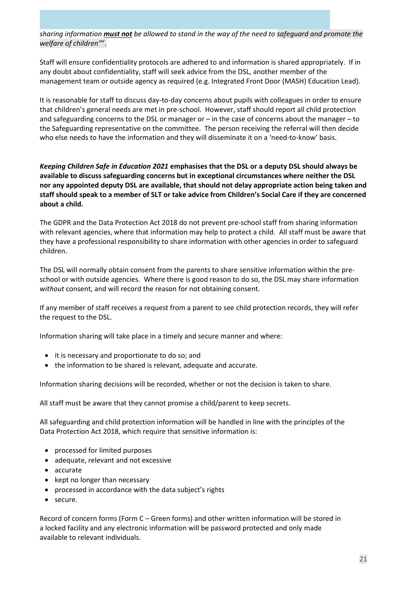*sharing information must not be allowed to stand in the way of the need to safeguard and promote the welfare of children"*".

Staff will ensure confidentiality protocols are adhered to and information is shared appropriately. If in any doubt about confidentiality, staff will seek advice from the DSL, another member of the management team or outside agency as required (e.g. Integrated Front Door (MASH) Education Lead).

It is reasonable for staff to discuss day-to-day concerns about pupils with colleagues in order to ensure that children's general needs are met in pre-school. However, staff should report all child protection and safeguarding concerns to the DSL or manager or – in the case of concerns about the manager – to the Safeguarding representative on the committee. The person receiving the referral will then decide who else needs to have the information and they will disseminate it on a 'need-to-know' basis.

*Keeping Children Safe in Education 2021* **emphasises that the DSL or a deputy DSL should always be available to discuss safeguarding concerns but in exceptional circumstances where neither the DSL nor any appointed deputy DSL are available, that should not delay appropriate action being taken and staff should speak to a member of SLT or take advice from Children's Social Care if they are concerned about a child.**

The GDPR and the Data Protection Act 2018 do not prevent pre-school staff from sharing information with relevant agencies, where that information may help to protect a child. All staff must be aware that they have a professional responsibility to share information with other agencies in order to safeguard children.

The DSL will normally obtain consent from the parents to share sensitive information within the preschool or with outside agencies. Where there is good reason to do so, the DSL may share information *without* consent, and will record the reason for not obtaining consent.

If any member of staff receives a request from a parent to see child protection records, they will refer the request to the DSL.

Information sharing will take place in a timely and secure manner and where:

- it is necessary and proportionate to do so; and
- the information to be shared is relevant, adequate and accurate.

Information sharing decisions will be recorded, whether or not the decision is taken to share.

All staff must be aware that they cannot promise a child/parent to keep secrets.

All safeguarding and child protection information will be handled in line with the principles of the Data Protection Act 2018, which require that sensitive information is:

- processed for limited purposes
- adequate, relevant and not excessive
- accurate
- kept no longer than necessary
- processed in accordance with the data subject's rights
- secure.

Record of concern forms (Form C – Green forms) and other written information will be stored in a locked facility and any electronic information will be password protected and only made available to relevant individuals.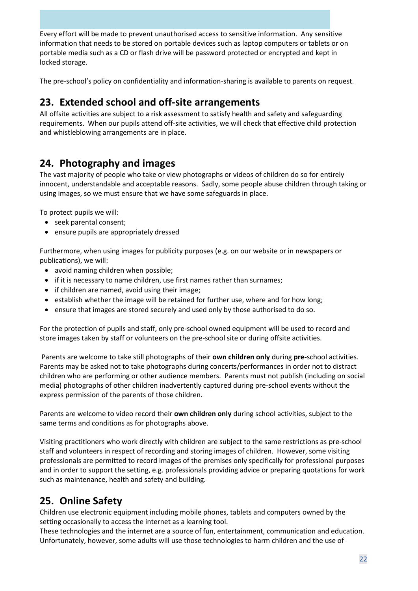Every effort will be made to prevent unauthorised access to sensitive information. Any sensitive information that needs to be stored on portable devices such as laptop computers or tablets or on portable media such as a CD or flash drive will be password protected or encrypted and kept in locked storage.

The pre-school's policy on confidentiality and information-sharing is available to parents on request.

## **23. Extended school and off-site arrangements**

All offsite activities are subject to a risk assessment to satisfy health and safety and safeguarding requirements. When our pupils attend off-site activities, we will check that effective child protection and whistleblowing arrangements are in place.

## **24. Photography and images**

The vast majority of people who take or view photographs or videos of children do so for entirely innocent, understandable and acceptable reasons. Sadly, some people abuse children through taking or using images, so we must ensure that we have some safeguards in place.

To protect pupils we will:

- seek parental consent;
- ensure pupils are appropriately dressed

Furthermore, when using images for publicity purposes (e.g. on our website or in newspapers or publications), we will:

- avoid naming children when possible;
- if it is necessary to name children, use first names rather than surnames;
- if children are named, avoid using their image;
- establish whether the image will be retained for further use, where and for how long;
- ensure that images are stored securely and used only by those authorised to do so.

For the protection of pupils and staff, only pre-school owned equipment will be used to record and store images taken by staff or volunteers on the pre-school site or during offsite activities.

Parents are welcome to take still photographs of their **own children only** during **pre-**school activities. Parents may be asked not to take photographs during concerts/performances in order not to distract children who are performing or other audience members. Parents must not publish (including on social media) photographs of other children inadvertently captured during pre-school events without the express permission of the parents of those children.

Parents are welcome to video record their **own children only** during school activities, subject to the same terms and conditions as for photographs above.

Visiting practitioners who work directly with children are subject to the same restrictions as pre-school staff and volunteers in respect of recording and storing images of children. However, some visiting professionals are permitted to record images of the premises only specifically for professional purposes and in order to support the setting, e.g. professionals providing advice or preparing quotations for work such as maintenance, health and safety and building.

## **25. Online Safety**

Children use electronic equipment including mobile phones, tablets and computers owned by the setting occasionally to access the internet as a learning tool.

These technologies and the internet are a source of fun, entertainment, communication and education. Unfortunately, however, some adults will use those technologies to harm children and the use of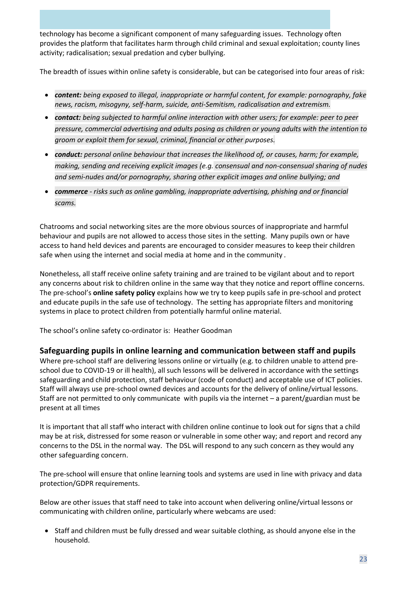technology has become a significant component of many safeguarding issues. Technology often provides the platform that facilitates harm through child criminal and sexual exploitation; county lines activity; radicalisation; sexual predation and cyber bullying.

The breadth of issues within online safety is considerable, but can be categorised into four areas of risk:

- *content: being exposed to illegal, inappropriate or harmful content, for example: pornography, fake news, racism, misogyny, self-harm, suicide, anti-Semitism, radicalisation and extremism.*
- *contact: being subjected to harmful online interaction with other users; for example: peer to peer pressure, commercial advertising and adults posing as children or young adults with the intention to groom or exploit them for sexual, criminal, financial or other purposes.*
- *conduct: personal online behaviour that increases the likelihood of, or causes, harm; for example, making, sending and receiving explicit images (e.g. consensual and non-consensual sharing of nudes and semi-nudes and/or pornography, sharing other explicit images and online bullying; and*
- *commerce - risks such as online gambling, inappropriate advertising, phishing and or financial scams.*

Chatrooms and social networking sites are the more obvious sources of inappropriate and harmful behaviour and pupils are not allowed to access those sites in the setting. Many pupils own or have access to hand held devices and parents are encouraged to consider measures to keep their children safe when using the internet and social media at home and in the community *.* 

Nonetheless, all staff receive online safety training and are trained to be vigilant about and to report any concerns about risk to children online in the same way that they notice and report offline concerns. The pre-school's **online safety policy** explains how we try to keep pupils safe in pre-school and protect and educate pupils in the safe use of technology. The setting has appropriate filters and monitoring systems in place to protect children from potentially harmful online material.

The school's online safety co-ordinator is: Heather Goodman

#### **Safeguarding pupils in online learning and communication between staff and pupils**

Where pre-school staff are delivering lessons online or virtually (e.g. to children unable to attend preschool due to COVID-19 or ill health), all such lessons will be delivered in accordance with the settings safeguarding and child protection, staff behaviour (code of conduct) and acceptable use of ICT policies. Staff will always use pre-school owned devices and accounts for the delivery of online/virtual lessons. Staff are not permitted to only communicate with pupils via the internet – a parent/guardian must be present at all times

It is important that all staff who interact with children online continue to look out for signs that a child may be at risk, distressed for some reason or vulnerable in some other way; and report and record any concerns to the DSL in the normal way. The DSL will respond to any such concern as they would any other safeguarding concern.

The pre-school will ensure that online learning tools and systems are used in line with privacy and data protection/GDPR requirements.

Below are other issues that staff need to take into account when delivering online/virtual lessons or communicating with children online, particularly where webcams are used:

• Staff and children must be fully dressed and wear suitable clothing, as should anyone else in the household.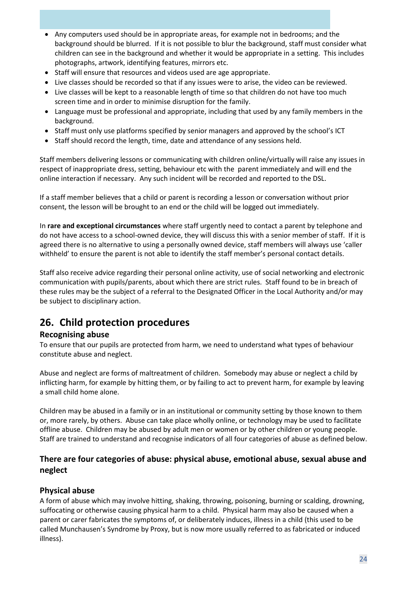- Any computers used should be in appropriate areas, for example not in bedrooms; and the background should be blurred. If it is not possible to blur the background, staff must consider what children can see in the background and whether it would be appropriate in a setting. This includes photographs, artwork, identifying features, mirrors etc.
- Staff will ensure that resources and videos used are age appropriate.
- Live classes should be recorded so that if any issues were to arise, the video can be reviewed.
- Live classes will be kept to a reasonable length of time so that children do not have too much screen time and in order to minimise disruption for the family.
- Language must be professional and appropriate, including that used by any family members in the background.
- Staff must only use platforms specified by senior managers and approved by the school's ICT
- Staff should record the length, time, date and attendance of any sessions held.

Staff members delivering lessons or communicating with children online/virtually will raise any issues in respect of inappropriate dress, setting, behaviour etc with the parent immediately and will end the online interaction if necessary. Any such incident will be recorded and reported to the DSL.

If a staff member believes that a child or parent is recording a lesson or conversation without prior consent, the lesson will be brought to an end or the child will be logged out immediately.

In **rare and exceptional circumstances** where staff urgently need to contact a parent by telephone and do not have access to a school-owned device, they will discuss this with a senior member of staff. If it is agreed there is no alternative to using a personally owned device, staff members will always use 'caller withheld' to ensure the parent is not able to identify the staff member's personal contact details.

Staff also receive advice regarding their personal online activity, use of social networking and electronic communication with pupils/parents, about which there are strict rules. Staff found to be in breach of these rules may be the subject of a referral to the Designated Officer in the Local Authority and/or may be subject to disciplinary action.

### **26. Child protection procedures**

#### **Recognising abuse**

To ensure that our pupils are protected from harm, we need to understand what types of behaviour constitute abuse and neglect.

Abuse and neglect are forms of maltreatment of children. Somebody may abuse or neglect a child by inflicting harm, for example by hitting them, or by failing to act to prevent harm, for example by leaving a small child home alone.

Children may be abused in a family or in an institutional or community setting by those known to them or, more rarely, by others. Abuse can take place wholly online, or technology may be used to facilitate offline abuse. Children may be abused by adult men or women or by other children or young people. Staff are trained to understand and recognise indicators of all four categories of abuse as defined below.

### **There are four categories of abuse: physical abuse, emotional abuse, sexual abuse and neglect**

#### **Physical abuse**

A form of abuse which may involve hitting, shaking, throwing, poisoning, burning or scalding, drowning, suffocating or otherwise causing physical harm to a child. Physical harm may also be caused when a parent or carer fabricates the symptoms of, or deliberately induces, illness in a child (this used to be called Munchausen's Syndrome by Proxy, but is now more usually referred to as fabricated or induced illness).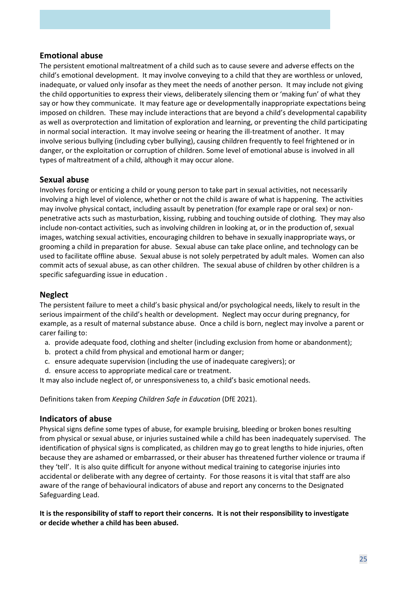#### **Emotional abuse**

The persistent emotional maltreatment of a child such as to cause severe and adverse effects on the child's emotional development. It may involve conveying to a child that they are worthless or unloved, inadequate, or valued only insofar as they meet the needs of another person. It may include not giving the child opportunities to express their views, deliberately silencing them or 'making fun' of what they say or how they communicate. It may feature age or developmentally inappropriate expectations being imposed on children. These may include interactions that are beyond a child's developmental capability as well as overprotection and limitation of exploration and learning, or preventing the child participating in normal social interaction. It may involve seeing or hearing the ill-treatment of another. It may involve serious bullying (including cyber bullying), causing children frequently to feel frightened or in danger, or the exploitation or corruption of children. Some level of emotional abuse is involved in all types of maltreatment of a child, although it may occur alone.

### **Sexual abuse**

Involves forcing or enticing a child or young person to take part in sexual activities, not necessarily involving a high level of violence, whether or not the child is aware of what is happening. The activities may involve physical contact, including assault by penetration (for example rape or oral sex) or nonpenetrative acts such as masturbation, kissing, rubbing and touching outside of clothing. They may also include non-contact activities, such as involving children in looking at, or in the production of, sexual images, watching sexual activities, encouraging children to behave in sexually inappropriate ways, or grooming a child in preparation for abuse. Sexual abuse can take place online, and technology can be used to facilitate offline abuse. Sexual abuse is not solely perpetrated by adult males. Women can also commit acts of sexual abuse, as can other children. The sexual abuse of children by other children is a specific safeguarding issue in education .

#### **Neglect**

The persistent failure to meet a child's basic physical and/or psychological needs, likely to result in the serious impairment of the child's health or development. Neglect may occur during pregnancy, for example, as a result of maternal substance abuse. Once a child is born, neglect may involve a parent or carer failing to:

- a. provide adequate food, clothing and shelter (including exclusion from home or abandonment);
- b. protect a child from physical and emotional harm or danger;
- c. ensure adequate supervision (including the use of inadequate caregivers); or
- d. ensure access to appropriate medical care or treatment.

It may also include neglect of, or unresponsiveness to, a child's basic emotional needs.

Definitions taken from *Keeping Children Safe in Education* (DfE 2021).

#### **Indicators of abuse**

Physical signs define some types of abuse, for example bruising, bleeding or broken bones resulting from physical or sexual abuse, or injuries sustained while a child has been inadequately supervised. The identification of physical signs is complicated, as children may go to great lengths to hide injuries, often because they are ashamed or embarrassed, or their abuser has threatened further violence or trauma if they 'tell'. It is also quite difficult for anyone without medical training to categorise injuries into accidental or deliberate with any degree of certainty. For those reasons it is vital that staff are also aware of the range of behavioural indicators of abuse and report any concerns to the Designated Safeguarding Lead.

**It is the responsibility of staff to report their concerns. It is not their responsibility to investigate or decide whether a child has been abused.**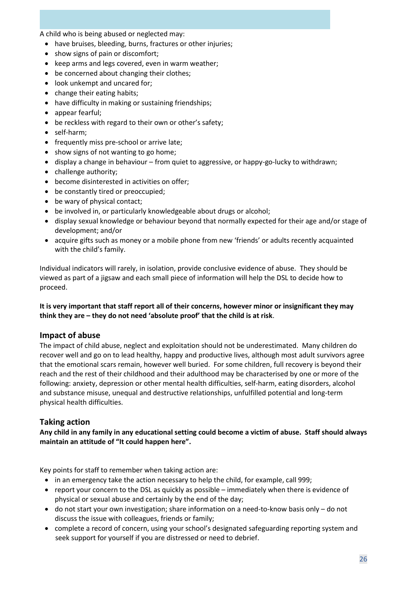A child who is being abused or neglected may:

- have bruises, bleeding, burns, fractures or other injuries;
- show signs of pain or discomfort;
- keep arms and legs covered, even in warm weather;
- be concerned about changing their clothes;
- look unkempt and uncared for;
- change their eating habits;
- have difficulty in making or sustaining friendships;
- appear fearful;
- be reckless with regard to their own or other's safety;
- self-harm;
- frequently miss pre-school or arrive late;
- show signs of not wanting to go home;
- display a change in behaviour from quiet to aggressive, or happy-go-lucky to withdrawn;
- challenge authority;
- become disinterested in activities on offer;
- be constantly tired or preoccupied;
- be wary of physical contact;
- be involved in, or particularly knowledgeable about drugs or alcohol;
- display sexual knowledge or behaviour beyond that normally expected for their age and/or stage of development; and/or
- acquire gifts such as money or a mobile phone from new 'friends' or adults recently acquainted with the child's family.

Individual indicators will rarely, in isolation, provide conclusive evidence of abuse. They should be viewed as part of a jigsaw and each small piece of information will help the DSL to decide how to proceed.

#### **It is very important that staff report all of their concerns, however minor or insignificant they may think they are – they do not need 'absolute proof' that the child is at risk**.

#### **Impact of abuse**

The impact of child abuse, neglect and exploitation should not be underestimated. Many children do recover well and go on to lead healthy, happy and productive lives, although most adult survivors agree that the emotional scars remain, however well buried. For some children, full recovery is beyond their reach and the rest of their childhood and their adulthood may be characterised by one or more of the following: anxiety, depression or other mental health difficulties, self-harm, eating disorders, alcohol and substance misuse, unequal and destructive relationships, unfulfilled potential and long-term physical health difficulties.

#### **Taking action**

**Any child in any family in any educational setting could become a victim of abuse. Staff should always maintain an attitude of "It could happen here".**

Key points for staff to remember when taking action are:

- in an emergency take the action necessary to help the child, for example, call 999;
- report your concern to the DSL as quickly as possible immediately when there is evidence of physical or sexual abuse and certainly by the end of the day;
- do not start your own investigation; share information on a need-to-know basis only do not discuss the issue with colleagues, friends or family;
- complete a record of concern, using your school's designated safeguarding reporting system and seek support for yourself if you are distressed or need to debrief.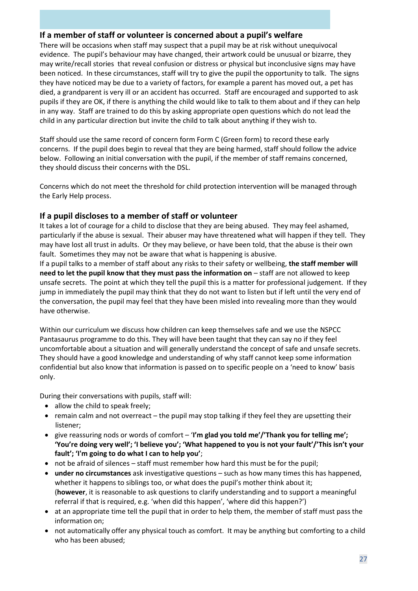#### **If a member of staff or volunteer is concerned about a pupil's welfare**

There will be occasions when staff may suspect that a pupil may be at risk without unequivocal evidence. The pupil's behaviour may have changed, their artwork could be unusual or bizarre, they may write/recall stories that reveal confusion or distress or physical but inconclusive signs may have been noticed. In these circumstances, staff will try to give the pupil the opportunity to talk. The signs they have noticed may be due to a variety of factors, for example a parent has moved out, a pet has died, a grandparent is very ill or an accident has occurred. Staff are encouraged and supported to ask pupils if they are OK, if there is anything the child would like to talk to them about and if they can help in any way. Staff are trained to do this by asking appropriate open questions which do not lead the child in any particular direction but invite the child to talk about anything if they wish to.

Staff should use the same record of concern form Form C (Green form) to record these early concerns. If the pupil does begin to reveal that they are being harmed, staff should follow the advice below. Following an initial conversation with the pupil, if the member of staff remains concerned, they should discuss their concerns with the DSL.

Concerns which do not meet the threshold for child protection intervention will be managed through the Early Help process.

#### **If a pupil discloses to a member of staff or volunteer**

It takes a lot of courage for a child to disclose that they are being abused. They may feel ashamed, particularly if the abuse is sexual. Their abuser may have threatened what will happen if they tell. They may have lost all trust in adults. Or they may believe, or have been told, that the abuse is their own fault. Sometimes they may not be aware that what is happening is abusive.

If a pupil talks to a member of staff about any risks to their safety or wellbeing, **the staff member will need to let the pupil know that they must pass the information on** – staff are not allowed to keep unsafe secrets. The point at which they tell the pupil this is a matter for professional judgement. If they jump in immediately the pupil may think that they do not want to listen but if left until the very end of the conversation, the pupil may feel that they have been misled into revealing more than they would have otherwise.

Within our curriculum we discuss how children can keep themselves safe and we use the NSPCC Pantasaurus programme to do this. They will have been taught that they can say no if they feel uncomfortable about a situation and will generally understand the concept of safe and unsafe secrets. They should have a good knowledge and understanding of why staff cannot keep some information confidential but also know that information is passed on to specific people on a 'need to know' basis only.

During their conversations with pupils, staff will:

- allow the child to speak freely;
- remain calm and not overreact the pupil may stop talking if they feel they are upsetting their listener;
- give reassuring nods or words of comfort '**I'm glad you told me'/'Thank you for telling me'; 'You're doing very well'; 'I believe you'; 'What happened to you is not your fault'/'This isn't your fault'; 'I'm going to do what I can to help you'**;
- not be afraid of silences staff must remember how hard this must be for the pupil;
- **under no circumstances** ask investigative questions such as how many times this has happened, whether it happens to siblings too, or what does the pupil's mother think about it; (**however**, it is reasonable to ask questions to clarify understanding and to support a meaningful referral if that is required, e.g. 'when did this happen', 'where did this happen?')
- at an appropriate time tell the pupil that in order to help them, the member of staff must pass the information on;
- not automatically offer any physical touch as comfort. It may be anything but comforting to a child who has been abused;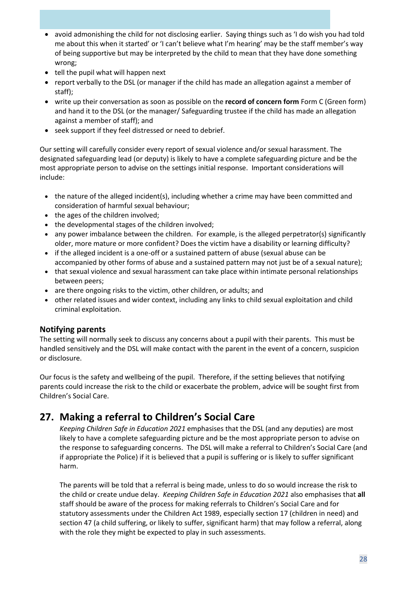- avoid admonishing the child for not disclosing earlier. Saying things such as 'I do wish you had told me about this when it started' or 'I can't believe what I'm hearing' may be the staff member's way of being supportive but may be interpreted by the child to mean that they have done something wrong;
- tell the pupil what will happen next
- report verbally to the DSL (or manager if the child has made an allegation against a member of staff);
- write up their conversation as soon as possible on the **record of concern form** Form C (Green form) and hand it to the DSL (or the manager/ Safeguarding trustee if the child has made an allegation against a member of staff); and
- seek support if they feel distressed or need to debrief.

Our setting will carefully consider every report of sexual violence and/or sexual harassment. The designated safeguarding lead (or deputy) is likely to have a complete safeguarding picture and be the most appropriate person to advise on the settings initial response. Important considerations will include:

- the nature of the alleged incident(s), including whether a crime may have been committed and consideration of harmful sexual behaviour;
- the ages of the children involved;
- the developmental stages of the children involved;
- any power imbalance between the children. For example, is the alleged perpetrator(s) significantly older, more mature or more confident? Does the victim have a disability or learning difficulty?
- if the alleged incident is a one-off or a sustained pattern of abuse (sexual abuse can be accompanied by other forms of abuse and a sustained pattern may not just be of a sexual nature);
- that sexual violence and sexual harassment can take place within intimate personal relationships between peers;
- are there ongoing risks to the victim, other children, or adults; and
- other related issues and wider context, including any links to child sexual exploitation and child criminal exploitation.

### **Notifying parents**

The setting will normally seek to discuss any concerns about a pupil with their parents. This must be handled sensitively and the DSL will make contact with the parent in the event of a concern, suspicion or disclosure.

Our focus is the safety and wellbeing of the pupil. Therefore, if the setting believes that notifying parents could increase the risk to the child or exacerbate the problem, advice will be sought first from Children's Social Care.

### **27. Making a referral to Children's Social Care**

*Keeping Children Safe in Education 2021* emphasises that the DSL (and any deputies) are most likely to have a complete safeguarding picture and be the most appropriate person to advise on the response to safeguarding concerns. The DSL will make a referral to Children's Social Care (and if appropriate the Police) if it is believed that a pupil is suffering or is likely to suffer significant harm.

The parents will be told that a referral is being made, unless to do so would increase the risk to the child or create undue delay. *Keeping Children Safe in Education 2021* also emphasises that **all**  staff should be aware of the process for making referrals to Children's Social Care and for statutory assessments under the Children Act 1989, especially section 17 (children in need) and section 47 (a child suffering, or likely to suffer, significant harm) that may follow a referral, along with the role they might be expected to play in such assessments.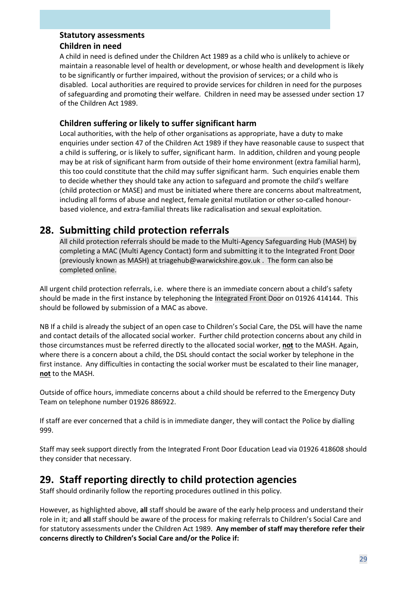### **Statutory assessments Children in need**

A child in need is defined under the Children Act 1989 as a child who is unlikely to achieve or maintain a reasonable level of health or development, or whose health and development is likely to be significantly or further impaired, without the provision of services; or a child who is disabled. Local authorities are required to provide services for children in need for the purposes of safeguarding and promoting their welfare. Children in need may be assessed under section 17 of the Children Act 1989.

### **Children suffering or likely to suffer significant harm**

Local authorities, with the help of other organisations as appropriate, have a duty to make enquiries under section 47 of the Children Act 1989 if they have reasonable cause to suspect that a child is suffering, or is likely to suffer, significant harm. In addition, children and young people may be at risk of significant harm from outside of their home environment (extra familial harm), this too could constitute that the child may suffer significant harm. Such enquiries enable them to decide whether they should take any action to safeguard and promote the child's welfare (child protection or MASE) and must be initiated where there are concerns about maltreatment, including all forms of abuse and neglect, female genital mutilation or other so-called honourbased violence, and extra-familial threats like radicalisation and sexual exploitation.

## **28. Submitting child protection referrals**

All child protection referrals should be made to the Multi-Agency Safeguarding Hub (MASH) by completing a MAC (Multi Agency Contact) form and submitting it to the Integrated Front Door (previously known as MASH) at triagehub@warwickshire.gov.uk . The form can also be completed online.

All urgent child protection referrals, i.e. where there is an immediate concern about a child's safety should be made in the first instance by telephoning the Integrated Front Door on 01926 414144. This should be followed by submission of a MAC as above.

NB If a child is already the subject of an open case to Children's Social Care, the DSL will have the name and contact details of the allocated social worker. Further child protection concerns about any child in those circumstances must be referred directly to the allocated social worker, **not** to the MASH. Again, where there is a concern about a child, the DSL should contact the social worker by telephone in the first instance. Any difficulties in contacting the social worker must be escalated to their line manager, **not** to the MASH.

Outside of office hours, immediate concerns about a child should be referred to the Emergency Duty Team on telephone number 01926 886922.

If staff are ever concerned that a child is in immediate danger, they will contact the Police by dialling 999.

Staff may seek support directly from the Integrated Front Door Education Lead via 01926 418608 should they consider that necessary.

## **29. Staff reporting directly to child protection agencies**

Staff should ordinarily follow the reporting procedures outlined in this policy.

However, as highlighted above, **all** staff should be aware of the early help process and understand their role in it; and **all** staff should be aware of the process for making referrals to Children's Social Care and for statutory assessments under the Children Act 1989. **Any member of staff may therefore refer their concerns directly to Children's Social Care and/or the Police if:**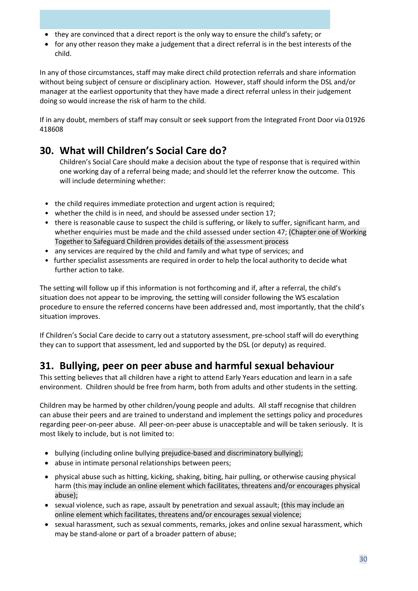- they are convinced that a direct report is the only way to ensure the child's safety; or
- for any other reason they make a judgement that a direct referral is in the best interests of the child.

In any of those circumstances, staff may make direct child protection referrals and share information without being subject of censure or disciplinary action. However, staff should inform the DSL and/or manager at the earliest opportunity that they have made a direct referral unless in their judgement doing so would increase the risk of harm to the child.

If in any doubt, members of staff may consult or seek support from the Integrated Front Door via 01926 418608

### **30. What will Children's Social Care do?**

Children's Social Care should make a decision about the type of response that is required within one working day of a referral being made; and should let the referrer know the outcome. This will include determining whether:

- the child requires immediate protection and urgent action is required;
- whether the child is in need, and should be assessed under section 17;
- there is reasonable cause to suspect the child is suffering, or likely to suffer, significant harm, and whether enquiries must be made and the child assessed under section 47; (Chapter one of Working Together to Safeguard Children provides details of the assessment process
- any services are required by the child and family and what type of services; and
- further specialist assessments are required in order to help the local authority to decide what further action to take.

The setting will follow up if this information is not forthcoming and if, after a referral, the child's situation does not appear to be improving, the setting will consider following the WS escalation procedure to ensure the referred concerns have been addressed and, most importantly, that the child's situation improves.

If Children's Social Care decide to carry out a statutory assessment, pre-school staff will do everything they can to support that assessment, led and supported by the DSL (or deputy) as required.

### **31. Bullying, peer on peer abuse and harmful sexual behaviour**

This setting believes that all children have a right to attend Early Years education and learn in a safe environment. Children should be free from harm, both from adults and other students in the setting.

Children may be harmed by other children/young people and adults. All staff recognise that children can abuse their peers and are trained to understand and implement the settings policy and procedures regarding peer-on-peer abuse. All peer-on-peer abuse is unacceptable and will be taken seriously. It is most likely to include, but is not limited to:

- bullying (including online bullying prejudice-based and discriminatory bullying);
- abuse in intimate personal relationships between peers;
- physical abuse such as hitting, kicking, shaking, biting, hair pulling, or otherwise causing physical harm (this may include an online element which facilitates, threatens and/or encourages physical abuse);
- sexual violence, such as rape, assault by penetration and sexual assault; (this may include an online element which facilitates, threatens and/or encourages sexual violence;
- sexual harassment, such as sexual comments, remarks, jokes and online sexual harassment, which may be stand-alone or part of a broader pattern of abuse;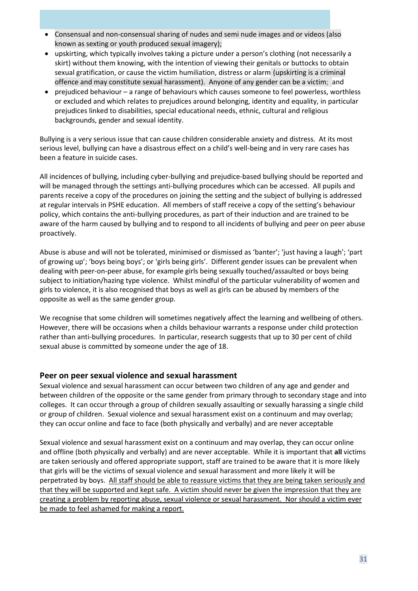- Consensual and non-consensual sharing of nudes and semi nude images and or videos (also known as sexting or youth produced sexual imagery);
- upskirting, which typically involves taking a picture under a person's clothing (not necessarily a skirt) without them knowing, with the intention of viewing their genitals or buttocks to obtain sexual gratification, or cause the victim humiliation, distress or alarm (upskirting is a criminal offence and may constitute sexual harassment). Anyone of any gender can be a victim; and
- prejudiced behaviour a range of behaviours which causes someone to feel powerless, worthless or excluded and which relates to prejudices around belonging, identity and equality, in particular prejudices linked to disabilities, special educational needs, ethnic, cultural and religious backgrounds, gender and sexual identity.

Bullying is a very serious issue that can cause children considerable anxiety and distress. At its most serious level, bullying can have a disastrous effect on a child's well-being and in very rare cases has been a feature in suicide cases.

All incidences of bullying, including cyber-bullying and prejudice-based bullying should be reported and will be managed through the settings anti-bullying procedures which can be accessed.All pupils and parents receive a copy of the procedures on joining the setting and the subject of bullying is addressed at regular intervals in PSHE education. All members of staff receive a copy of the setting's behaviour policy, which contains the anti-bullying procedures, as part of their induction and are trained to be aware of the harm caused by bullying and to respond to all incidents of bullying and peer on peer abuse proactively.

Abuse is abuse and will not be tolerated, minimised or dismissed as 'banter'; 'just having a laugh'; 'part of growing up'; 'boys being boys'; or 'girls being girls'. Different gender issues can be prevalent when dealing with peer-on-peer abuse, for example girls being sexually touched/assaulted or boys being subject to initiation/hazing type violence. Whilst mindful of the particular vulnerability of women and girls to violence, it is also recognised that boys as well as girls can be abused by members of the opposite as well as the same gender group.

We recognise that some children will sometimes negatively affect the learning and wellbeing of others. However, there will be occasions when a childs behaviour warrants a response under child protection rather than anti-bullying procedures. In particular, research suggests that up to 30 per cent of child sexual abuse is committed by someone under the age of 18.

### **Peer on peer sexual violence and sexual harassment**

Sexual violence and sexual harassment can occur between two children of any age and gender and between children of the opposite or the same gender from primary through to secondary stage and into colleges. It can occur through a group of children sexually assaulting or sexually harassing a single child or group of children. Sexual violence and sexual harassment exist on a continuum and may overlap; they can occur online and face to face (both physically and verbally) and are never acceptable

Sexual violence and sexual harassment exist on a continuum and may overlap, they can occur online and offline (both physically and verbally) and are never acceptable. While it is important that **all** victims are taken seriously and offered appropriate support, staff are trained to be aware that it is more likely that girls will be the victims of sexual violence and sexual harassment and more likely it will be perpetrated by boys. All staff should be able to reassure victims that they are being taken seriously and that they will be supported and kept safe. A victim should never be given the impression that they are creating a problem by reporting abuse, sexual violence or sexual harassment. Nor should a victim ever be made to feel ashamed for making a report.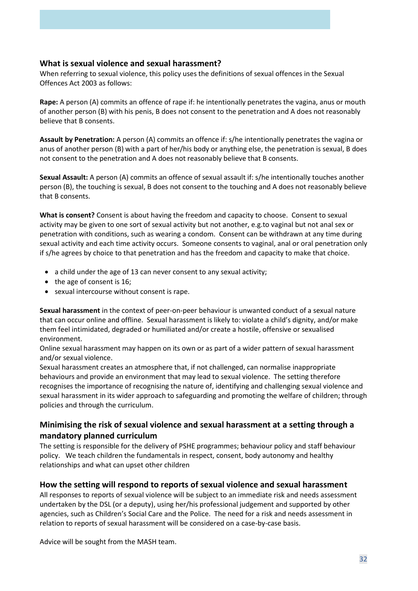#### **What is sexual violence and sexual harassment?**

When referring to sexual violence, this policy uses the definitions of sexual offences in the Sexual Offences Act 2003 as follows:

**Rape:** A person (A) commits an offence of rape if: he intentionally penetrates the vagina, anus or mouth of another person (B) with his penis, B does not consent to the penetration and A does not reasonably believe that B consents.

**Assault by Penetration:** A person (A) commits an offence if: s/he intentionally penetrates the vagina or anus of another person (B) with a part of her/his body or anything else, the penetration is sexual, B does not consent to the penetration and A does not reasonably believe that B consents.

**Sexual Assault:** A person (A) commits an offence of sexual assault if: s/he intentionally touches another person (B), the touching is sexual, B does not consent to the touching and A does not reasonably believe that B consents.

**What is consent?** Consent is about having the freedom and capacity to choose. Consent to sexual activity may be given to one sort of sexual activity but not another, e.g.to vaginal but not anal sex or penetration with conditions, such as wearing a condom. Consent can be withdrawn at any time during sexual activity and each time activity occurs. Someone consents to vaginal, anal or oral penetration only if s/he agrees by choice to that penetration and has the freedom and capacity to make that choice.

- a child under the age of 13 can never consent to any sexual activity;
- the age of consent is 16:
- sexual intercourse without consent is rape.

**Sexual harassment** in the context of peer-on-peer behaviour is unwanted conduct of a sexual nature that can occur online and offline. Sexual harassment is likely to: violate a child's dignity, and/or make them feel intimidated, degraded or humiliated and/or create a hostile, offensive or sexualised environment.

Online sexual harassment may happen on its own or as part of a wider pattern of sexual harassment and/or sexual violence.

Sexual harassment creates an atmosphere that, if not challenged, can normalise inappropriate behaviours and provide an environment that may lead to sexual violence. The setting therefore recognises the importance of recognising the nature of, identifying and challenging sexual violence and sexual harassment in its wider approach to safeguarding and promoting the welfare of children; through policies and through the curriculum.

### **Minimising the risk of sexual violence and sexual harassment at a setting through a mandatory planned curriculum**

The setting is responsible for the delivery of PSHE programmes; behaviour policy and staff behaviour policy. We teach children the fundamentals in respect, consent, body autonomy and healthy relationships and what can upset other children

#### **How the setting will respond to reports of sexual violence and sexual harassment**

All responses to reports of sexual violence will be subject to an immediate risk and needs assessment undertaken by the DSL (or a deputy), using her/his professional judgement and supported by other agencies, such as Children's Social Care and the Police. The need for a risk and needs assessment in relation to reports of sexual harassment will be considered on a case-by-case basis.

Advice will be sought from the MASH team.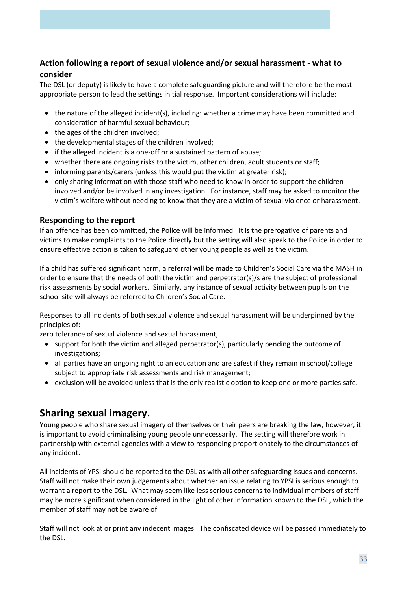### **Action following a report of sexual violence and/or sexual harassment - what to consider**

The DSL (or deputy) is likely to have a complete safeguarding picture and will therefore be the most appropriate person to lead the settings initial response. Important considerations will include:

- the nature of the alleged incident(s), including: whether a crime may have been committed and consideration of harmful sexual behaviour;
- the ages of the children involved;
- the developmental stages of the children involved;
- if the alleged incident is a one-off or a sustained pattern of abuse;
- whether there are ongoing risks to the victim, other children, adult students or staff;
- informing parents/carers (unless this would put the victim at greater risk);
- only sharing information with those staff who need to know in order to support the children involved and/or be involved in any investigation. For instance, staff may be asked to monitor the victim's welfare without needing to know that they are a victim of sexual violence or harassment.

#### **Responding to the report**

If an offence has been committed, the Police will be informed. It is the prerogative of parents and victims to make complaints to the Police directly but the setting will also speak to the Police in order to ensure effective action is taken to safeguard other young people as well as the victim.

If a child has suffered significant harm, a referral will be made to Children's Social Care via the MASH in order to ensure that the needs of both the victim and perpetrator(s)/s are the subject of professional risk assessments by social workers. Similarly, any instance of sexual activity between pupils on the school site will always be referred to Children's Social Care.

Responses to all incidents of both sexual violence and sexual harassment will be underpinned by the principles of:

zero tolerance of sexual violence and sexual harassment;

- support for both the victim and alleged perpetrator(s), particularly pending the outcome of investigations;
- all parties have an ongoing right to an education and are safest if they remain in school/college subject to appropriate risk assessments and risk management;
- exclusion will be avoided unless that is the only realistic option to keep one or more parties safe.

### **Sharing sexual imagery.**

Young people who share sexual imagery of themselves or their peers are breaking the law, however, it is important to avoid criminalising young people unnecessarily. The setting will therefore work in partnership with external agencies with a view to responding proportionately to the circumstances of any incident.

All incidents of YPSI should be reported to the DSL as with all other safeguarding issues and concerns. Staff will not make their own judgements about whether an issue relating to YPSI is serious enough to warrant a report to the DSL. What may seem like less serious concerns to individual members of staff may be more significant when considered in the light of other information known to the DSL, which the member of staff may not be aware of

Staff will not look at or print any indecent images. The confiscated device will be passed immediately to the DSL.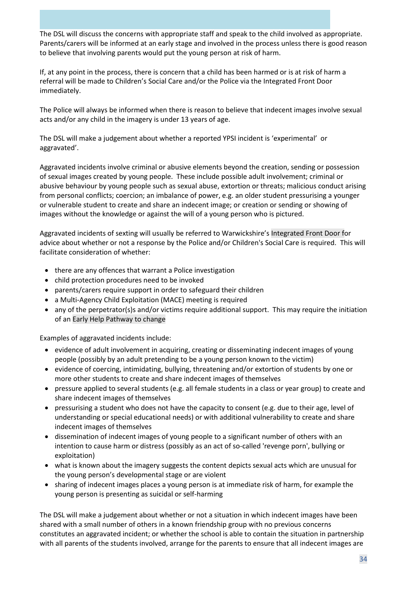The DSL will discuss the concerns with appropriate staff and speak to the child involved as appropriate. Parents/carers will be informed at an early stage and involved in the process unless there is good reason to believe that involving parents would put the young person at risk of harm.

If, at any point in the process, there is concern that a child has been harmed or is at risk of harm a referral will be made to Children's Social Care and/or the Police via the Integrated Front Door immediately.

The Police will always be informed when there is reason to believe that indecent images involve sexual acts and/or any child in the imagery is under 13 years of age.

The DSL will make a judgement about whether a reported YPSI incident is 'experimental' or aggravated'.

Aggravated incidents involve criminal or abusive elements beyond the creation, sending or possession of sexual images created by young people. These include possible adult involvement; criminal or abusive behaviour by young people such as sexual abuse, extortion or threats; malicious conduct arising from personal conflicts; coercion; an imbalance of power, e.g. an older student pressurising a younger or vulnerable student to create and share an indecent image; or creation or sending or showing of images without the knowledge or against the will of a young person who is pictured.

Aggravated incidents of sexting will usually be referred to Warwickshire's Integrated Front Door for advice about whether or not a response by the Police and/or Children's Social Care is required. This will facilitate consideration of whether:

- there are any offences that warrant a Police investigation
- child protection procedures need to be invoked
- parents/carers require support in order to safeguard their children
- a Multi-Agency Child Exploitation (MACE) meeting is required
- any of the perpetrator(s)s and/or victims require additional support. This may require the initiation of an Early Help Pathway to change

Examples of aggravated incidents include:

- evidence of adult involvement in acquiring, creating or disseminating indecent images of young people (possibly by an adult pretending to be a young person known to the victim)
- evidence of coercing, intimidating, bullying, threatening and/or extortion of students by one or more other students to create and share indecent images of themselves
- pressure applied to several students (e.g. all female students in a class or year group) to create and share indecent images of themselves
- pressurising a student who does not have the capacity to consent (e.g. due to their age, level of understanding or special educational needs) or with additional vulnerability to create and share indecent images of themselves
- dissemination of indecent images of young people to a significant number of others with an intention to cause harm or distress (possibly as an act of so-called 'revenge porn', bullying or exploitation)
- what is known about the imagery suggests the content depicts sexual acts which are unusual for the young person's developmental stage or are violent
- sharing of indecent images places a young person is at immediate risk of harm, for example the young person is presenting as suicidal or self-harming

The DSL will make a judgement about whether or not a situation in which indecent images have been shared with a small number of others in a known friendship group with no previous concerns constitutes an aggravated incident; or whether the school is able to contain the situation in partnership with all parents of the students involved, arrange for the parents to ensure that all indecent images are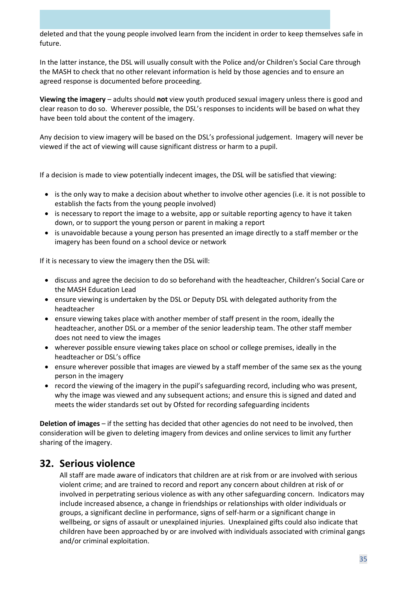deleted and that the young people involved learn from the incident in order to keep themselves safe in future.

In the latter instance, the DSL will usually consult with the Police and/or Children's Social Care through the MASH to check that no other relevant information is held by those agencies and to ensure an agreed response is documented before proceeding.

**Viewing the imagery** – adults should **not** view youth produced sexual imagery unless there is good and clear reason to do so. Wherever possible, the DSL's responses to incidents will be based on what they have been told about the content of the imagery.

Any decision to view imagery will be based on the DSL's professional judgement. Imagery will never be viewed if the act of viewing will cause significant distress or harm to a pupil.

If a decision is made to view potentially indecent images, the DSL will be satisfied that viewing:

- is the only way to make a decision about whether to involve other agencies (i.e. it is not possible to establish the facts from the young people involved)
- is necessary to report the image to a website, app or suitable reporting agency to have it taken down, or to support the young person or parent in making a report
- is unavoidable because a young person has presented an image directly to a staff member or the imagery has been found on a school device or network

If it is necessary to view the imagery then the DSL will:

- discuss and agree the decision to do so beforehand with the headteacher, Children's Social Care or the MASH Education Lead
- ensure viewing is undertaken by the DSL or Deputy DSL with delegated authority from the headteacher
- ensure viewing takes place with another member of staff present in the room, ideally the headteacher, another DSL or a member of the senior leadership team. The other staff member does not need to view the images
- wherever possible ensure viewing takes place on school or college premises, ideally in the headteacher or DSL's office
- ensure wherever possible that images are viewed by a staff member of the same sex as the young person in the imagery
- record the viewing of the imagery in the pupil's safeguarding record, including who was present, why the image was viewed and any subsequent actions; and ensure this is signed and dated and meets the wider standards set out by Ofsted for recording safeguarding incidents

**Deletion of images** – if the setting has decided that other agencies do not need to be involved, then consideration will be given to deleting imagery from devices and online services to limit any further sharing of the imagery.

### **32. Serious violence**

All staff are made aware of indicators that children are at risk from or are involved with serious violent crime; and are trained to record and report any concern about children at risk of or involved in perpetrating serious violence as with any other safeguarding concern. Indicators may include increased absence, a change in friendships or relationships with older individuals or groups, a significant decline in performance, signs of self-harm or a significant change in wellbeing, or signs of assault or unexplained injuries. Unexplained gifts could also indicate that children have been approached by or are involved with individuals associated with criminal gangs and/or criminal exploitation.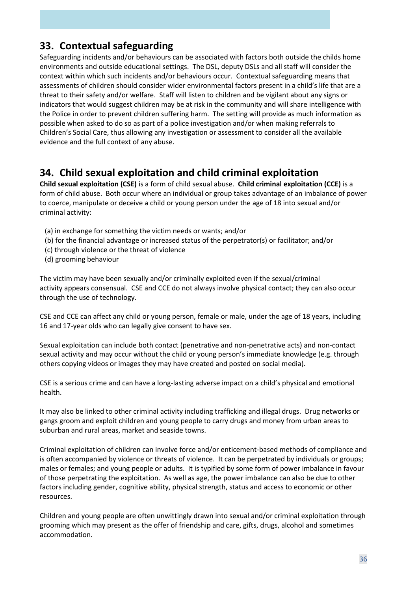## **33. Contextual safeguarding**

Safeguarding incidents and/or behaviours can be associated with factors both outside the childs home environments and outside educational settings. The DSL, deputy DSLs and all staff will consider the context within which such incidents and/or behaviours occur. Contextual safeguarding means that assessments of children should consider wider environmental factors present in a child's life that are a threat to their safety and/or welfare. Staff will listen to children and be vigilant about any signs or indicators that would suggest children may be at risk in the community and will share intelligence with the Police in order to prevent children suffering harm. The setting will provide as much information as possible when asked to do so as part of a police investigation and/or when making referrals to Children's Social Care, thus allowing any investigation or assessment to consider all the available evidence and the full context of any abuse.

## **34. Child sexual exploitation and child criminal exploitation**

**Child sexual exploitation (CSE)** is a form of child sexual abuse. **Child criminal exploitation (CCE)** is a form of child abuse. Both occur where an individual or group takes advantage of an imbalance of power to coerce, manipulate or deceive a child or young person under the age of 18 into sexual and/or criminal activity:

- (a) in exchange for something the victim needs or wants; and/or
- (b) for the financial advantage or increased status of the perpetrator(s) or facilitator; and/or
- (c) through violence or the threat of violence
- (d) grooming behaviour

The victim may have been sexually and/or criminally exploited even if the sexual/criminal activity appears consensual. CSE and CCE do not always involve physical contact; they can also occur through the use of technology.

CSE and CCE can affect any child or young person, female or male, under the age of 18 years, including 16 and 17-year olds who can legally give consent to have sex.

Sexual exploitation can include both contact (penetrative and non-penetrative acts) and non-contact sexual activity and may occur without the child or young person's immediate knowledge (e.g. through others copying videos or images they may have created and posted on social media).

CSE is a serious crime and can have a long-lasting adverse impact on a child's physical and emotional health.

It may also be linked to other criminal activity including trafficking and illegal drugs. Drug networks or gangs groom and exploit children and young people to carry drugs and money from urban areas to suburban and rural areas, market and seaside towns.

Criminal exploitation of children can involve force and/or enticement-based methods of compliance and is often accompanied by violence or threats of violence. It can be perpetrated by individuals or groups; males or females; and young people or adults. It is typified by some form of power imbalance in favour of those perpetrating the exploitation. As well as age, the power imbalance can also be due to other factors including gender, cognitive ability, physical strength, status and access to economic or other resources.

Children and young people are often unwittingly drawn into sexual and/or criminal exploitation through grooming which may present as the offer of friendship and care, gifts, drugs, alcohol and sometimes accommodation.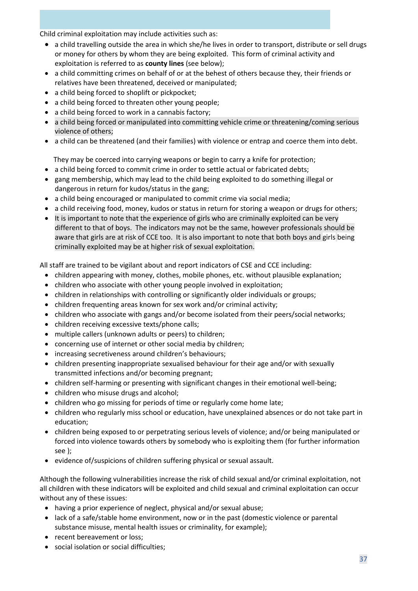Child criminal exploitation may include activities such as:

- a child travelling outside the area in which she/he lives in order to transport, distribute or sell drugs or money for others by whom they are being exploited. This form of criminal activity and exploitation is referred to as **county lines** (see below);
- a child committing crimes on behalf of or at the behest of others because they, their friends or relatives have been threatened, deceived or manipulated;
- a child being forced to shoplift or pickpocket;
- a child being forced to threaten other young people;
- a child being forced to work in a cannabis factory;
- a child being forced or manipulated into committing vehicle crime or threatening/coming serious violence of others;
- a child can be threatened (and their families) with violence or entrap and coerce them into debt.

They may be coerced into carrying weapons or begin to carry a knife for protection;

- a child being forced to commit crime in order to settle actual or fabricated debts;
- gang membership, which may lead to the child being exploited to do something illegal or dangerous in return for kudos/status in the gang;
- a child being encouraged or manipulated to commit crime via social media;
- a child receiving food, money, kudos or status in return for storing a weapon or drugs for others;
- It is important to note that the experience of girls who are criminally exploited can be very different to that of boys. The indicators may not be the same, however professionals should be aware that girls are at risk of CCE too. It is also important to note that both boys and girls being criminally exploited may be at higher risk of sexual exploitation.

All staff are trained to be vigilant about and report indicators of CSE and CCE including:

- children appearing with money, clothes, mobile phones, etc. without plausible explanation;
- children who associate with other young people involved in exploitation;
- children in relationships with controlling or significantly older individuals or groups;
- children frequenting areas known for sex work and/or criminal activity;
- children who associate with gangs and/or become isolated from their peers/social networks;
- children receiving excessive texts/phone calls;
- multiple callers (unknown adults or peers) to children;
- concerning use of internet or other social media by children;
- increasing secretiveness around children's behaviours;
- children presenting inappropriate sexualised behaviour for their age and/or with sexually transmitted infections and/or becoming pregnant;
- children self-harming or presenting with significant changes in their emotional well-being;
- children who misuse drugs and alcohol;
- children who go missing for periods of time or regularly come home late;
- children who regularly miss school or education, have unexplained absences or do not take part in education;
- children being exposed to or perpetrating serious levels of violence; and/or being manipulated or forced into violence towards others by somebody who is exploiting them (for further information see );
- evidence of/suspicions of children suffering physical or sexual assault.

Although the following vulnerabilities increase the risk of child sexual and/or criminal exploitation, not all children with these indicators will be exploited and child sexual and criminal exploitation can occur without any of these issues:

- having a prior experience of neglect, physical and/or sexual abuse;
- lack of a safe/stable home environment, now or in the past (domestic violence or parental substance misuse, mental health issues or criminality, for example);
- recent bereavement or loss:
- social isolation or social difficulties;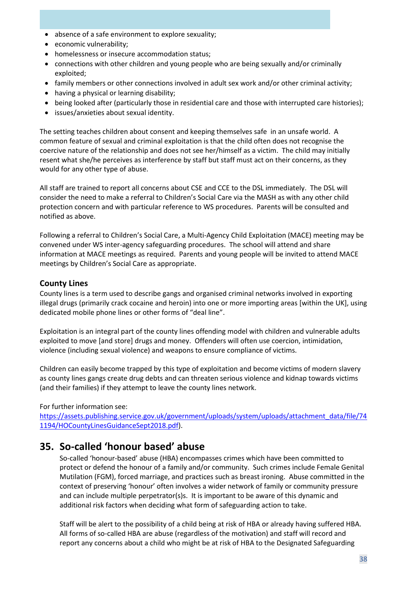- absence of a safe environment to explore sexuality;
- economic vulnerability;
- homelessness or insecure accommodation status;
- connections with other children and young people who are being sexually and/or criminally exploited;
- family members or other connections involved in adult sex work and/or other criminal activity;
- having a physical or learning disability;
- being looked after (particularly those in residential care and those with interrupted care histories);
- issues/anxieties about sexual identity.

The setting teaches children about consent and keeping themselves safe in an unsafe world. A common feature of sexual and criminal exploitation is that the child often does not recognise the coercive nature of the relationship and does not see her/himself as a victim. The child may initially resent what she/he perceives as interference by staff but staff must act on their concerns, as they would for any other type of abuse.

All staff are trained to report all concerns about CSE and CCE to the DSL immediately. The DSL will consider the need to make a referral to Children's Social Care via the MASH as with any other child protection concern and with particular reference to WS procedures. Parents will be consulted and notified as above.

Following a referral to Children's Social Care, a Multi-Agency Child Exploitation (MACE) meeting may be convened under WS inter-agency safeguarding procedures. The school will attend and share information at MACE meetings as required. Parents and young people will be invited to attend MACE meetings by Children's Social Care as appropriate.

#### **County Lines**

County lines is a term used to describe gangs and organised criminal networks involved in exporting illegal drugs (primarily crack cocaine and heroin) into one or more importing areas [within the UK], using dedicated mobile phone lines or other forms of "deal line".

Exploitation is an integral part of the county lines offending model with children and vulnerable adults exploited to move [and store] drugs and money. Offenders will often use coercion, intimidation, violence (including sexual violence) and weapons to ensure compliance of victims.

Children can easily become trapped by this type of exploitation and become victims of modern slavery as county lines gangs create drug debts and can threaten serious violence and kidnap towards victims (and their families) if they attempt to leave the county lines network.

#### For further information see:

[https://assets.publishing.service.gov.uk/government/uploads/system/uploads/attachment\\_data/file/74](https://assets.publishing.service.gov.uk/government/uploads/system/uploads/attachment_data/file/741194/HOCountyLinesGuidanceSept2018.pdf) [1194/HOCountyLinesGuidanceSept2018.pdf\)](https://assets.publishing.service.gov.uk/government/uploads/system/uploads/attachment_data/file/741194/HOCountyLinesGuidanceSept2018.pdf).

### **35. So-called 'honour based' abuse**

So-called 'honour-based' abuse (HBA) encompasses crimes which have been committed to protect or defend the honour of a family and/or community. Such crimes include Female Genital Mutilation (FGM), forced marriage, and practices such as breast ironing. Abuse committed in the context of preserving 'honour' often involves a wider network of family or community pressure and can include multiple perpetrator(s)s. It is important to be aware of this dynamic and additional risk factors when deciding what form of safeguarding action to take.

Staff will be alert to the possibility of a child being at risk of HBA or already having suffered HBA. All forms of so-called HBA are abuse (regardless of the motivation) and staff will record and report any concerns about a child who might be at risk of HBA to the Designated Safeguarding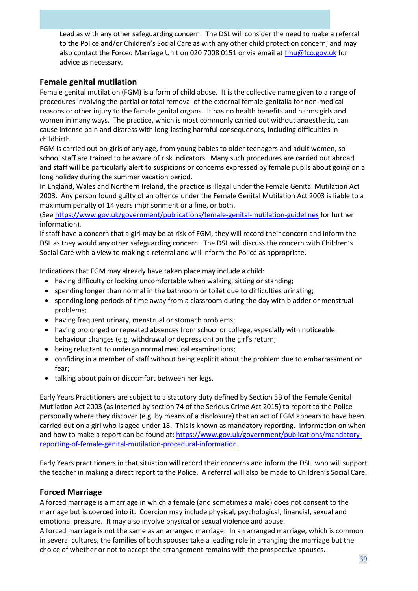Lead as with any other safeguarding concern. The DSL will consider the need to make a referral to the Police and/or Children's Social Care as with any other child protection concern; and may also contact the Forced Marriage Unit on 020 7008 0151 or via email at [fmu@fco.gov.uk](mailto:fmu@fco.gov.uk) for advice as necessary.

### **Female genital mutilation**

Female genital mutilation (FGM) is a form of child abuse. It is the collective name given to a range of procedures involving the partial or total removal of the external female genitalia for non-medical reasons or other injury to the female genital organs. It has no health benefits and harms girls and women in many ways. The practice, which is most commonly carried out without anaesthetic, can cause intense pain and distress with long-lasting harmful consequences, including difficulties in childbirth.

FGM is carried out on girls of any age, from young babies to older teenagers and adult women, so school staff are trained to be aware of risk indicators. Many such procedures are carried out abroad and staff will be particularly alert to suspicions or concerns expressed by female pupils about going on a long holiday during the summer vacation period.

In England, Wales and Northern Ireland, the practice is illegal under the Female Genital Mutilation Act 2003. Any person found guilty of an offence under the Female Genital Mutilation Act 2003 is liable to a maximum penalty of 14 years imprisonment or a fine, or both.

(See <https://www.gov.uk/government/publications/female-genital-mutilation-guidelines> for further information)*.*

If staff have a concern that a girl may be at risk of FGM, they will record their concern and inform the DSL as they would any other safeguarding concern. The DSL will discuss the concern with Children's Social Care with a view to making a referral and will inform the Police as appropriate.

Indications that FGM may already have taken place may include a child:

- having difficulty or looking uncomfortable when walking, sitting or standing;
- spending longer than normal in the bathroom or toilet due to difficulties urinating;
- spending long periods of time away from a classroom during the day with bladder or menstrual problems;
- having frequent urinary, menstrual or stomach problems;
- having prolonged or repeated absences from school or college, especially with noticeable behaviour changes (e.g. withdrawal or depression) on the girl's return;
- being reluctant to undergo normal medical examinations;
- confiding in a member of staff without being explicit about the problem due to embarrassment or fear;
- talking about pain or discomfort between her legs.

Early Years Practitioners are subject to a statutory duty defined by Section 5B of the Female Genital Mutilation Act 2003 (as inserted by section 74 of the Serious Crime Act 2015) to report to the Police personally where they discover (e.g. by means of a disclosure) that an act of FGM appears to have been carried out on a girl who is aged under 18. This is known as mandatory reporting. Information on when and how to make a report can be found at: [https://www.gov.uk/government/publications/mandatory](https://www.gov.uk/government/publications/mandatory-reporting-of-female-genital-mutilation-procedural-information)[reporting-of-female-genital-mutilation-procedural-information.](https://www.gov.uk/government/publications/mandatory-reporting-of-female-genital-mutilation-procedural-information)

Early Years practitioners in that situation will record their concerns and inform the DSL, who will support the teacher in making a direct report to the Police. A referral will also be made to Children's Social Care.

### **Forced Marriage**

A forced marriage is a marriage in which a female (and sometimes a male) does not consent to the marriage but is coerced into it. Coercion may include physical, psychological, financial, sexual and emotional pressure. It may also involve physical or sexual violence and abuse.

A forced marriage is not the same as an arranged marriage. In an arranged marriage, which is common in several cultures, the families of both spouses take a leading role in arranging the marriage but the choice of whether or not to accept the arrangement remains with the prospective spouses.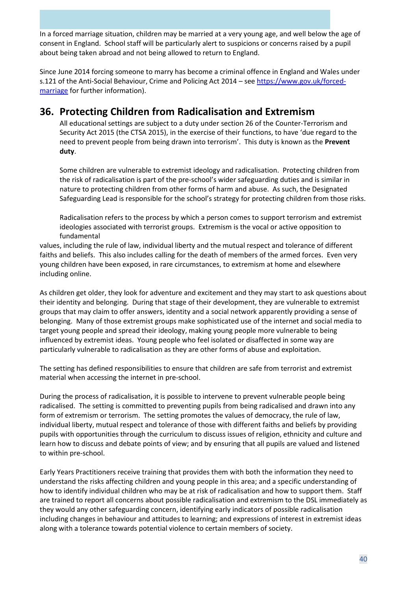In a forced marriage situation, children may be married at a very young age, and well below the age of consent in England. School staff will be particularly alert to suspicions or concerns raised by a pupil about being taken abroad and not being allowed to return to England.

Since June 2014 forcing someone to marry has become a criminal offence in England and Wales under s.121 of the Anti-Social Behaviour, Crime and Policing Act 2014 – see [https://www.gov.uk/forced](https://www.gov.uk/forced-marriage)[marriage](https://www.gov.uk/forced-marriage) for further information).

### **36. Protecting Children from Radicalisation and Extremism**

All educational settings are subject to a duty under section 26 of the Counter-Terrorism and Security Act 2015 (the CTSA 2015), in the exercise of their functions, to have 'due regard to the need to prevent people from being drawn into terrorism'. This duty is known as the **Prevent duty**.

Some children are vulnerable to extremist ideology and radicalisation. Protecting children from the risk of radicalisation is part of the pre-school's wider safeguarding duties and is similar in nature to protecting children from other forms of harm and abuse. As such, the Designated Safeguarding Lead is responsible for the school's strategy for protecting children from those risks.

Radicalisation refers to the process by which a person comes to support terrorism and extremist ideologies associated with terrorist groups. Extremism is the vocal or active opposition to fundamental

values, including the rule of law, individual liberty and the mutual respect and tolerance of different faiths and beliefs. This also includes calling for the death of members of the armed forces. Even very young children have been exposed, in rare circumstances, to extremism at home and elsewhere including online.

As children get older, they look for adventure and excitement and they may start to ask questions about their identity and belonging. During that stage of their development, they are vulnerable to extremist groups that may claim to offer answers, identity and a social network apparently providing a sense of belonging. Many of those extremist groups make sophisticated use of the internet and social media to target young people and spread their ideology, making young people more vulnerable to being influenced by extremist ideas. Young people who feel isolated or disaffected in some way are particularly vulnerable to radicalisation as they are other forms of abuse and exploitation.

The setting has defined responsibilities to ensure that children are safe from terrorist and extremist material when accessing the internet in pre-school.

During the process of radicalisation, it is possible to intervene to prevent vulnerable people being radicalised. The setting is committed to preventing pupils from being radicalised and drawn into any form of extremism or terrorism. The setting promotes the values of democracy, the rule of law, individual liberty, mutual respect and tolerance of those with different faiths and beliefs by providing pupils with opportunities through the curriculum to discuss issues of religion, ethnicity and culture and learn how to discuss and debate points of view; and by ensuring that all pupils are valued and listened to within pre-school.

Early Years Practitioners receive training that provides them with both the information they need to understand the risks affecting children and young people in this area; and a specific understanding of how to identify individual children who may be at risk of radicalisation and how to support them. Staff are trained to report all concerns about possible radicalisation and extremism to the DSL immediately as they would any other safeguarding concern, identifying early indicators of possible radicalisation including changes in behaviour and attitudes to learning; and expressions of interest in extremist ideas along with a tolerance towards potential violence to certain members of society.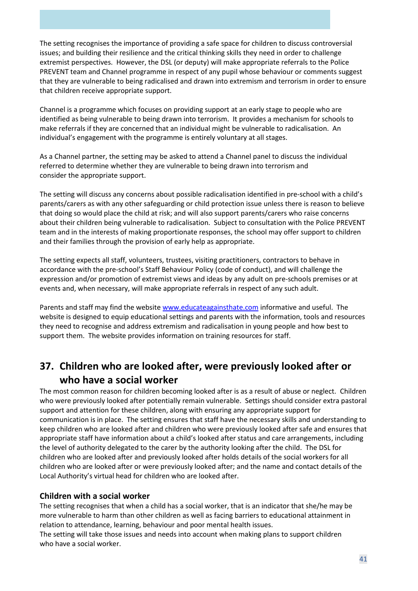The setting recognises the importance of providing a safe space for children to discuss controversial issues; and building their resilience and the critical thinking skills they need in order to challenge extremist perspectives. However, the DSL (or deputy) will make appropriate referrals to the Police PREVENT team and Channel programme in respect of any pupil whose behaviour or comments suggest that they are vulnerable to being radicalised and drawn into extremism and terrorism in order to ensure that children receive appropriate support.

Channel is a programme which focuses on providing support at an early stage to people who are identified as being vulnerable to being drawn into terrorism. It provides a mechanism for schools to make referrals if they are concerned that an individual might be vulnerable to radicalisation. An individual's engagement with the programme is entirely voluntary at all stages.

As a Channel partner, the setting may be asked to attend a Channel panel to discuss the individual referred to determine whether they are vulnerable to being drawn into terrorism and consider the appropriate support.

The setting will discuss any concerns about possible radicalisation identified in pre-school with a child's parents/carers as with any other safeguarding or child protection issue unless there is reason to believe that doing so would place the child at risk; and will also support parents/carers who raise concerns about their children being vulnerable to radicalisation. Subject to consultation with the Police PREVENT team and in the interests of making proportionate responses, the school may offer support to children and their families through the provision of early help as appropriate.

The setting expects all staff, volunteers, trustees, visiting practitioners, contractors to behave in accordance with the pre-school's Staff Behaviour Policy (code of conduct), and will challenge the expression and/or promotion of extremist views and ideas by any adult on pre-schools premises or at events and, when necessary, will make appropriate referrals in respect of any such adult.

Parents and staff may find the website [www.educateagainsthate.com](http://www.educateagainsthate.com/) informative and useful. The website is designed to equip educational settings and parents with the information, tools and resources they need to recognise and address extremism and radicalisation in young people and how best to support them. The website provides information on training resources for staff.

# **37. Children who are looked after, were previously looked after or who have a social worker**

The most common reason for children becoming looked after is as a result of abuse or neglect. Children who were previously looked after potentially remain vulnerable. Settings should consider extra pastoral support and attention for these children, along with ensuring any appropriate support for communication is in place. The setting ensures that staff have the necessary skills and understanding to keep children who are looked after and children who were previously looked after safe and ensures that appropriate staff have information about a child's looked after status and care arrangements, including the level of authority delegated to the carer by the authority looking after the child. The DSL for children who are looked after and previously looked after holds details of the social workers for all children who are looked after or were previously looked after; and the name and contact details of the Local Authority's virtual head for children who are looked after.

#### **Children with a social worker**

The setting recognises that when a child has a social worker, that is an indicator that she/he may be more vulnerable to harm than other children as well as facing barriers to educational attainment in relation to attendance, learning, behaviour and poor mental health issues.

The setting will take those issues and needs into account when making plans to support children who have a social worker.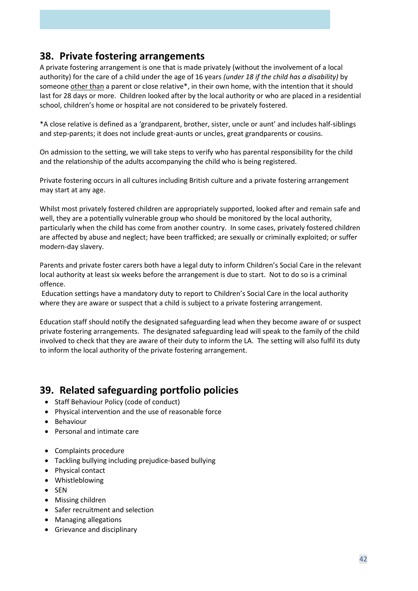## **38. Private fostering arrangements**

A private fostering arrangement is one that is made privately (without the involvement of a local authority) for the care of a child under the age of 16 years *(under 18 if the child has a disability)* by someone other than a parent or close relative\*, in their own home, with the intention that it should last for 28 days or more. Children looked after by the local authority or who are placed in a residential school, children's home or hospital are not considered to be privately fostered.

\*A close relative is defined as a 'grandparent, brother, sister, uncle or aunt' and includes half-siblings and step-parents; it does not include great-aunts or uncles, great grandparents or cousins.

On admission to the setting, we will take steps to verify who has parental responsibility for the child and the relationship of the adults accompanying the child who is being registered.

Private fostering occurs in all cultures including British culture and a private fostering arrangement may start at any age.

Whilst most privately fostered children are appropriately supported, looked after and remain safe and well, they are a potentially vulnerable group who should be monitored by the local authority, particularly when the child has come from another country. In some cases, privately fostered children are affected by abuse and neglect; have been trafficked; are sexually or criminally exploited; or suffer modern-day slavery.

Parents and private foster carers both have a legal duty to inform Children's Social Care in the relevant local authority at least six weeks before the arrangement is due to start. Not to do so is a criminal offence.

Education settings have a mandatory duty to report to Children's Social Care in the local authority where they are aware or suspect that a child is subject to a private fostering arrangement.

Education staff should notify the designated safeguarding lead when they become aware of or suspect private fostering arrangements. The designated safeguarding lead will speak to the family of the child involved to check that they are aware of their duty to inform the LA. The setting will also fulfil its duty to inform the local authority of the private fostering arrangement.

### **39. Related safeguarding portfolio policies**

- Staff Behaviour Policy (code of conduct)
- Physical intervention and the use of reasonable force
- **Behaviour**
- Personal and intimate care
- Complaints procedure
- Tackling bullying including prejudice-based bullying
- Physical contact
- Whistleblowing
- SEN
- Missing children
- Safer recruitment and selection
- Managing allegations
- Grievance and disciplinary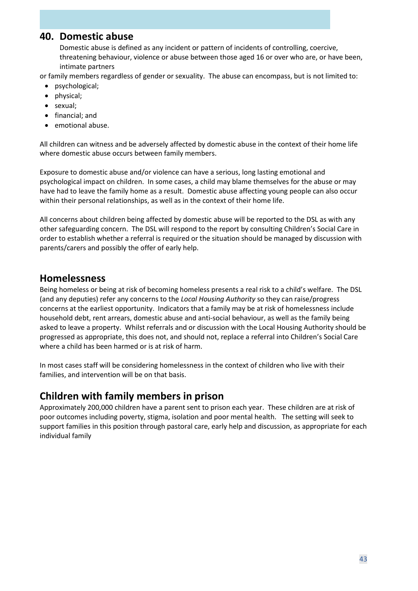### **40. Domestic abuse**

Domestic abuse is defined as any incident or pattern of incidents of controlling, coercive, threatening behaviour, violence or abuse between those aged 16 or over who are, or have been, intimate partners

or family members regardless of gender or sexuality. The abuse can encompass, but is not limited to:

- psychological;
- physical;
- sexual;
- financial; and
- emotional abuse.

All children can witness and be adversely affected by domestic abuse in the context of their home life where domestic abuse occurs between family members.

Exposure to domestic abuse and/or violence can have a serious, long lasting emotional and psychological impact on children. In some cases, a child may blame themselves for the abuse or may have had to leave the family home as a result. Domestic abuse affecting young people can also occur within their personal relationships, as well as in the context of their home life.

All concerns about children being affected by domestic abuse will be reported to the DSL as with any other safeguarding concern. The DSL will respond to the report by consulting Children's Social Care in order to establish whether a referral is required or the situation should be managed by discussion with parents/carers and possibly the offer of early help.

### **Homelessness**

Being homeless or being at risk of becoming homeless presents a real risk to a child's welfare. The DSL (and any deputies) refer any concerns to the *Local Housing Authority* so they can raise/progress concerns at the earliest opportunity. Indicators that a family may be at risk of homelessness include household debt, rent arrears, domestic abuse and anti-social behaviour, as well as the family being asked to leave a property. Whilst referrals and or discussion with the Local Housing Authority should be progressed as appropriate, this does not, and should not, replace a referral into Children's Social Care where a child has been harmed or is at risk of harm.

In most cases staff will be considering homelessness in the context of children who live with their families, and intervention will be on that basis.

## **Children with family members in prison**

Approximately 200,000 children have a parent sent to prison each year. These children are at risk of poor outcomes including poverty, stigma, isolation and poor mental health. The setting will seek to support families in this position through pastoral care, early help and discussion, as appropriate for each individual family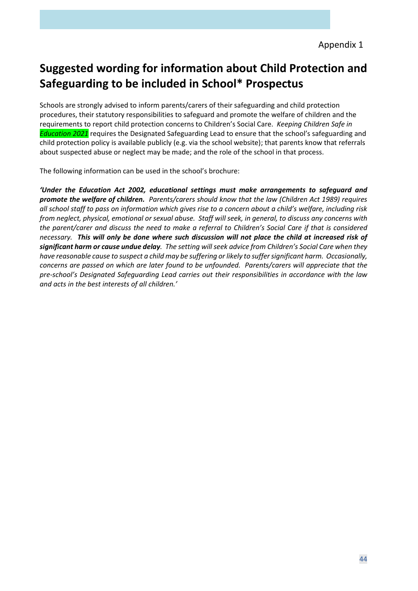# **Suggested wording for information about Child Protection and Safeguarding to be included in School\* Prospectus**

Schools are strongly advised to inform parents/carers of their safeguarding and child protection procedures, their statutory responsibilities to safeguard and promote the welfare of children and the requirements to report child protection concerns to Children's Social Care. *Keeping Children Safe in Education 2021* requires the Designated Safeguarding Lead to ensure that the school's safeguarding and child protection policy is available publicly (e.g. via the school website); that parents know that referrals about suspected abuse or neglect may be made; and the role of the school in that process.

The following information can be used in the school's brochure:

*'Under the Education Act 2002, educational settings must make arrangements to safeguard and promote the welfare of children. Parents/carers should know that the law (Children Act 1989) requires all school staff to pass on information which gives rise to a concern about a child's welfare, including risk from neglect, physical, emotional or sexual abuse. Staff will seek, in general, to discuss any concerns with the parent/carer and discuss the need to make a referral to Children's Social Care if that is considered necessary. This will only be done where such discussion will not place the child at increased risk of significant harm or cause undue delay. The setting will seek advice from Children's Social Care when they have reasonable cause to suspect a child may be suffering or likely to suffer significant harm. Occasionally, concerns are passed on which are later found to be unfounded. Parents/carers will appreciate that the pre-school's Designated Safeguarding Lead carries out their responsibilities in accordance with the law and acts in the best interests of all children.'*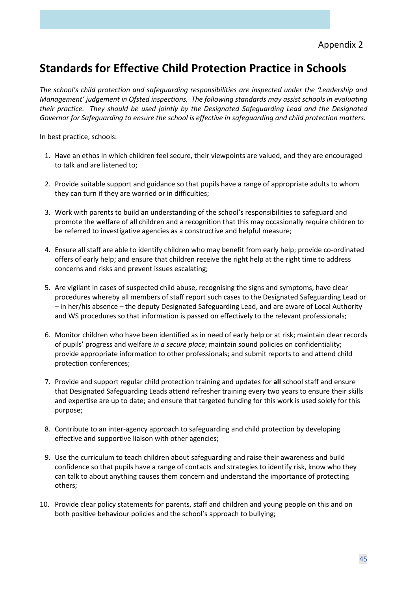# **Standards for Effective Child Protection Practice in Schools**

*The school's child protection and safeguarding responsibilities are inspected under the 'Leadership and Management' judgement in Ofsted inspections. The following standards may assist schools in evaluating their practice. They should be used jointly by the Designated Safeguarding Lead and the Designated Governor for Safeguarding to ensure the school is effective in safeguarding and child protection matters.*

In best practice, schools:

- 1. Have an ethos in which children feel secure, their viewpoints are valued, and they are encouraged to talk and are listened to;
- 2. Provide suitable support and guidance so that pupils have a range of appropriate adults to whom they can turn if they are worried or in difficulties;
- 3. Work with parents to build an understanding of the school's responsibilities to safeguard and promote the welfare of all children and a recognition that this may occasionally require children to be referred to investigative agencies as a constructive and helpful measure;
- 4. Ensure all staff are able to identify children who may benefit from early help; provide co-ordinated offers of early help; and ensure that children receive the right help at the right time to address concerns and risks and prevent issues escalating;
- 5. Are vigilant in cases of suspected child abuse, recognising the signs and symptoms, have clear procedures whereby all members of staff report such cases to the Designated Safeguarding Lead or – in her/his absence – the deputy Designated Safeguarding Lead, and are aware of Local Authority and WS procedures so that information is passed on effectively to the relevant professionals;
- 6. Monitor children who have been identified as in need of early help or at risk; maintain clear records of pupils' progress and welfare *in a secure place*; maintain sound policies on confidentiality; provide appropriate information to other professionals; and submit reports to and attend child protection conferences;
- 7. Provide and support regular child protection training and updates for **all** school staff and ensure that Designated Safeguarding Leads attend refresher training every two years to ensure their skills and expertise are up to date; and ensure that targeted funding for this work is used solely for this purpose;
- 8. Contribute to an inter-agency approach to safeguarding and child protection by developing effective and supportive liaison with other agencies;
- 9. Use the curriculum to teach children about safeguarding and raise their awareness and build confidence so that pupils have a range of contacts and strategies to identify risk, know who they can talk to about anything causes them concern and understand the importance of protecting others;
- 10. Provide clear policy statements for parents, staff and children and young people on this and on both positive behaviour policies and the school's approach to bullying;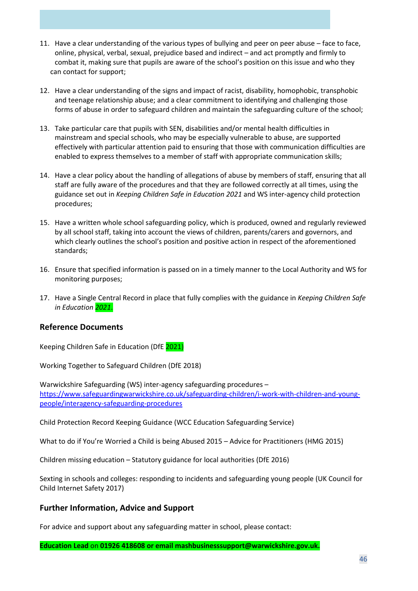- 11. Have a clear understanding of the various types of bullying and peer on peer abuse face to face, online, physical, verbal, sexual, prejudice based and indirect – and act promptly and firmly to combat it, making sure that pupils are aware of the school's position on this issue and who they can contact for support;
- 12. Have a clear understanding of the signs and impact of racist, disability, homophobic, transphobic and teenage relationship abuse; and a clear commitment to identifying and challenging those forms of abuse in order to safeguard children and maintain the safeguarding culture of the school;
- 13. Take particular care that pupils with SEN, disabilities and/or mental health difficulties in mainstream and special schools, who may be especially vulnerable to abuse, are supported effectively with particular attention paid to ensuring that those with communication difficulties are enabled to express themselves to a member of staff with appropriate communication skills;
- 14. Have a clear policy about the handling of allegations of abuse by members of staff, ensuring that all staff are fully aware of the procedures and that they are followed correctly at all times, using the guidance set out in *Keeping Children Safe in Education 2021* and WS inter-agency child protection procedures;
- 15. Have a written whole school safeguarding policy, which is produced, owned and regularly reviewed by all school staff, taking into account the views of children, parents/carers and governors, and which clearly outlines the school's position and positive action in respect of the aforementioned standards;
- 16. Ensure that specified information is passed on in a timely manner to the Local Authority and WS for monitoring purposes;
- 17. Have a Single Central Record in place that fully complies with the guidance in *Keeping Children Safe in Education 2021*.

#### **Reference Documents**

Keeping Children Safe in Education (DfE 2021)

Working Together to Safeguard Children (DfE 2018)

Warwickshire Safeguarding (WS) inter-agency safeguarding procedures – [https://www.safeguardingwarwickshire.co.uk/safeguarding-children/i-work-with-children-and-young](https://www.safeguardingwarwickshire.co.uk/safeguarding-children/i-work-with-children-and-young-people/interagency-safeguarding-procedures)[people/interagency-safeguarding-procedures](https://www.safeguardingwarwickshire.co.uk/safeguarding-children/i-work-with-children-and-young-people/interagency-safeguarding-procedures)

Child Protection Record Keeping Guidance (WCC Education Safeguarding Service)

What to do if You're Worried a Child is being Abused 2015 – Advice for Practitioners (HMG 2015)

Children missing education – Statutory guidance for local authorities (DfE 2016)

Sexting in schools and colleges: responding to incidents and safeguarding young people (UK Council for Child Internet Safety 2017)

#### **Further Information, Advice and Support**

For advice and support about any safeguarding matter in school, please contact:

**Education Lead** on **01926 418608 or email mashbusinesssupport@warwickshire.gov.uk.**